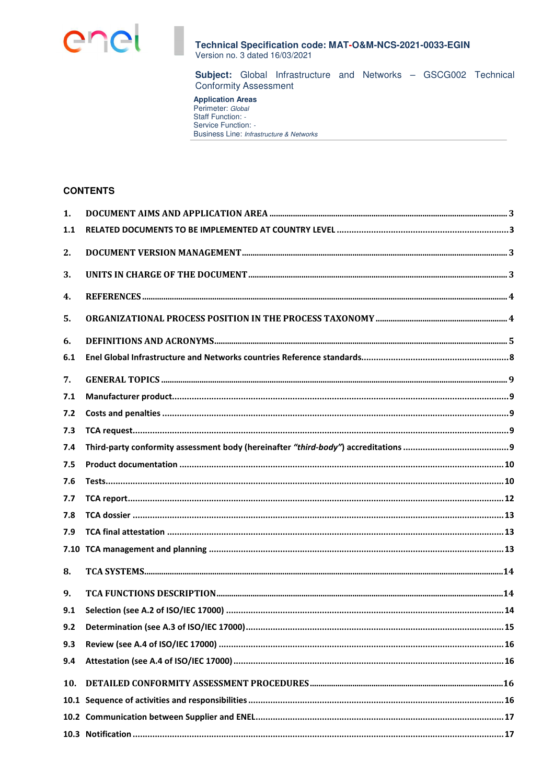

Subject: Global Infrastructure and Networks - GSCG002 Technical **Conformity Assessment** 

## **Application Areas** Perimeter: Global<br>Staff Function: -Service Function: -Business Line: Infrastructure & Networks

## **CONTENTS**

| 1.  |  |
|-----|--|
| 1.1 |  |
| 2.  |  |
| 3.  |  |
| 4.  |  |
| 5.  |  |
| 6.  |  |
| 6.1 |  |
| 7.  |  |
| 7.1 |  |
| 7.2 |  |
| 7.3 |  |
| 7.4 |  |
| 7.5 |  |
| 7.6 |  |
| 7.7 |  |
| 7.8 |  |
| 7.9 |  |
|     |  |
| 8.  |  |
| 9.  |  |
| 9.1 |  |
|     |  |
| 9.3 |  |
| 9.4 |  |
| 10. |  |
|     |  |
|     |  |
|     |  |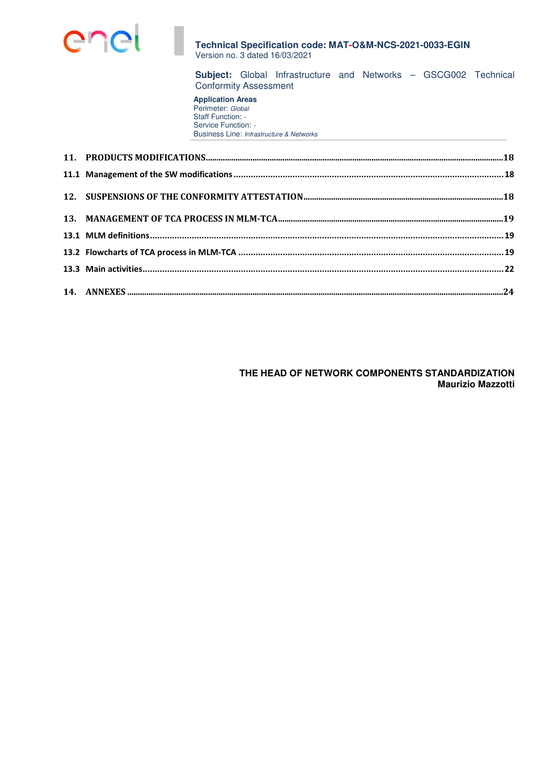

**Subject:** Global Infrastructure and Networks – GSCG002 Technical Conformity Assessment

#### **Application Areas** Perimeter: Global Staff Function: - Service Function: -Business Line: Infrastructure & Networks

**THE HEAD OF NETWORK COMPONENTS STANDARDIZATION Maurizio Mazzotti**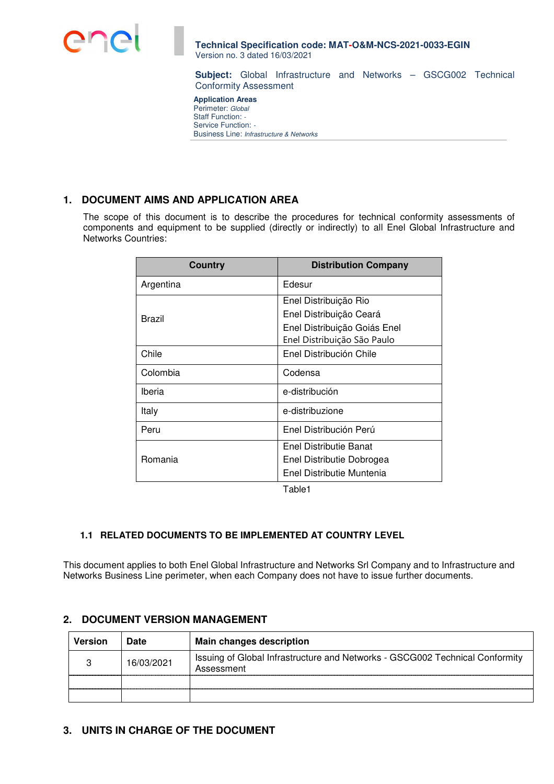

**Subject:** Global Infrastructure and Networks – GSCG002 Technical Conformity Assessment

| <b>Application Areas</b>                 |  |
|------------------------------------------|--|
| Perimeter: Global                        |  |
| Staff Function: -                        |  |
| Service Function: -                      |  |
| Business Line: Infrastructure & Networks |  |

# **1. DOCUMENT AIMS AND APPLICATION AREA**

The scope of this document is to describe the procedures for technical conformity assessments of components and equipment to be supplied (directly or indirectly) to all Enel Global Infrastructure and Networks Countries:

| Country   | <b>Distribution Company</b>  |
|-----------|------------------------------|
| Argentina | Edesur                       |
|           | Enel Distribuição Rio        |
| Brazil    | Enel Distribuição Ceará      |
|           | Enel Distribuição Goiás Enel |
|           | Enel Distribuição São Paulo  |
| Chile     | Enel Distribución Chile      |
| Colombia  | Codensa                      |
| Iberia    | e-distribución               |
| Italy     | e-distribuzione              |
| Peru      | Enel Distribución Perú       |
|           | Enel Distributie Banat       |
| Romania   | Enel Distributie Dobrogea    |
|           | Enel Distributie Muntenia    |

Table1

## **1.1 RELATED DOCUMENTS TO BE IMPLEMENTED AT COUNTRY LEVEL**

This document applies to both Enel Global Infrastructure and Networks Srl Company and to Infrastructure and Networks Business Line perimeter, when each Company does not have to issue further documents.

# **2. DOCUMENT VERSION MANAGEMENT**

| <b>Version</b> | <b>Date</b> | <b>Main changes description</b>                                                            |
|----------------|-------------|--------------------------------------------------------------------------------------------|
|                | 16/03/2021  | Issuing of Global Infrastructure and Networks - GSCG002 Technical Conformity<br>Assessment |
|                |             |                                                                                            |
|                |             |                                                                                            |

# **3. UNITS IN CHARGE OF THE DOCUMENT**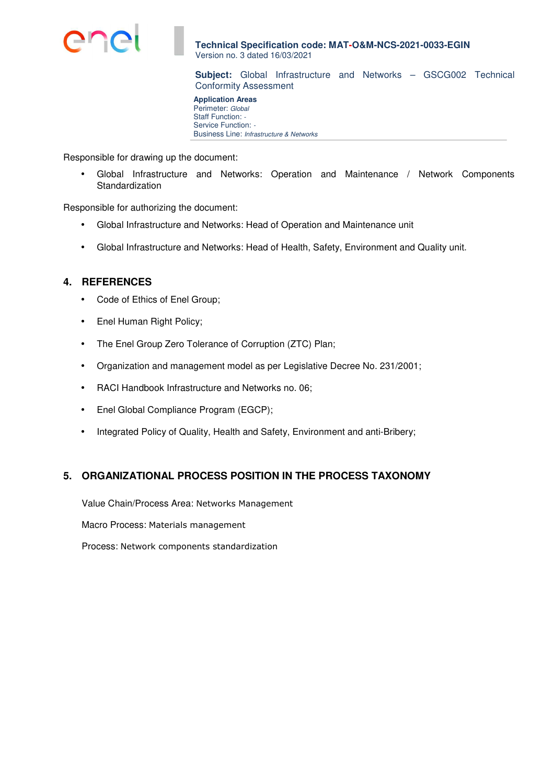

**Subject:** Global Infrastructure and Networks – GSCG002 Technical Conformity Assessment

**Application Areas** Perimeter: Global Staff Function: -Service Function: - Business Line: Infrastructure & Networks

Responsible for drawing up the document:

• Global Infrastructure and Networks: Operation and Maintenance / Network Components **Standardization** 

Responsible for authorizing the document:

- Global Infrastructure and Networks: Head of Operation and Maintenance unit
- Global Infrastructure and Networks: Head of Health, Safety, Environment and Quality unit.

# **4. REFERENCES**

- Code of Ethics of Enel Group;
- Enel Human Right Policy;
- The Enel Group Zero Tolerance of Corruption (ZTC) Plan;
- Organization and management model as per Legislative Decree No. 231/2001;
- RACI Handbook Infrastructure and Networks no. 06;
- Enel Global Compliance Program (EGCP);
- Integrated Policy of Quality, Health and Safety, Environment and anti-Bribery;

# **5. ORGANIZATIONAL PROCESS POSITION IN THE PROCESS TAXONOMY**

Value Chain/Process Area: Networks Management

Macro Process: Materials management

Process: Network components standardization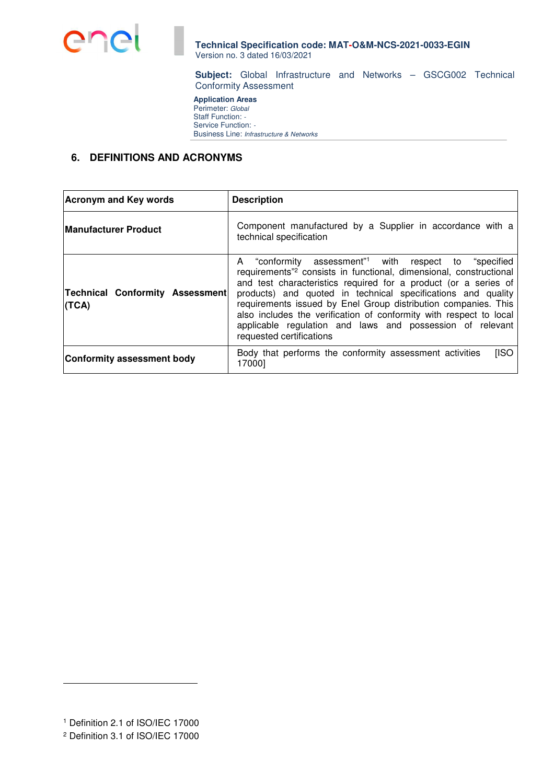

**Subject:** Global Infrastructure and Networks – GSCG002 Technical Conformity Assessment

**Application Areas** Perimeter: Global Staff Function: - Service Function: -Business Line: Infrastructure & Networks

# **6. DEFINITIONS AND ACRONYMS**

| <b>Acronym and Key words</b>             | <b>Description</b>                                                                                                                                                                                                                                                                                                                                                                                                                                                                                                      |  |  |  |
|------------------------------------------|-------------------------------------------------------------------------------------------------------------------------------------------------------------------------------------------------------------------------------------------------------------------------------------------------------------------------------------------------------------------------------------------------------------------------------------------------------------------------------------------------------------------------|--|--|--|
| <b>IManufacturer Product</b>             | Component manufactured by a Supplier in accordance with a<br>technical specification                                                                                                                                                                                                                                                                                                                                                                                                                                    |  |  |  |
| Technical Conformity Assessment<br>(TCA) | A "conformity assessment" <sup>1</sup> with respect to "specified<br>requirements" <sup>2</sup> consists in functional, dimensional, constructional<br>and test characteristics required for a product (or a series of<br>products) and quoted in technical specifications and quality<br>requirements issued by Enel Group distribution companies. This<br>also includes the verification of conformity with respect to local<br>applicable regulation and laws and possession of relevant<br>requested certifications |  |  |  |
| Conformity assessment body               | [ISO<br>Body that performs the conformity assessment activities<br>17000]                                                                                                                                                                                                                                                                                                                                                                                                                                               |  |  |  |

l

<sup>1</sup> Definition 2.1 of ISO/IEC 17000

<sup>2</sup> Definition 3.1 of ISO/IEC 17000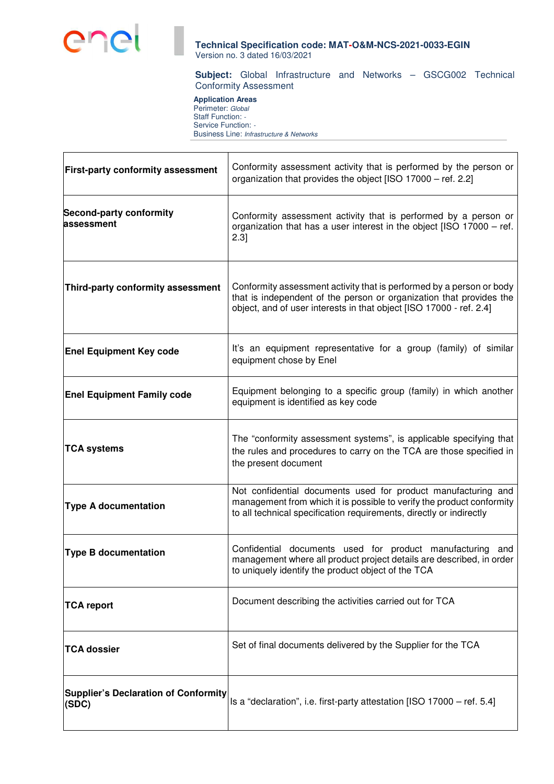

**Subject:** Global Infrastructure and Networks – GSCG002 Technical Conformity Assessment

**Application Areas** Perimeter: Global Staff Function: - Service Function: -Business Line: Infrastructure & Networks

| <b>First-party conformity assessment</b>             | Conformity assessment activity that is performed by the person or<br>organization that provides the object [ISO 17000 - ref. 2.2]                                                                                  |  |  |  |  |
|------------------------------------------------------|--------------------------------------------------------------------------------------------------------------------------------------------------------------------------------------------------------------------|--|--|--|--|
| <b>Second-party conformity</b><br>assessment         | Conformity assessment activity that is performed by a person or<br>organization that has a user interest in the object [ISO 17000 - ref.<br>2.3]                                                                   |  |  |  |  |
| Third-party conformity assessment                    | Conformity assessment activity that is performed by a person or body<br>that is independent of the person or organization that provides the<br>object, and of user interests in that object [ISO 17000 - ref. 2.4] |  |  |  |  |
| <b>Enel Equipment Key code</b>                       | It's an equipment representative for a group (family) of similar<br>equipment chose by Enel                                                                                                                        |  |  |  |  |
| <b>Enel Equipment Family code</b>                    | Equipment belonging to a specific group (family) in which another<br>equipment is identified as key code                                                                                                           |  |  |  |  |
| <b>TCA systems</b>                                   | The "conformity assessment systems", is applicable specifying that<br>the rules and procedures to carry on the TCA are those specified in<br>the present document                                                  |  |  |  |  |
| <b>Type A documentation</b>                          | Not confidential documents used for product manufacturing and<br>management from which it is possible to verify the product conformity<br>to all technical specification requirements, directly or indirectly      |  |  |  |  |
| <b>Type B documentation</b>                          | Confidential documents used for product manufacturing and<br>management where all product project details are described, in order<br>to uniquely identify the product object of the TCA                            |  |  |  |  |
| <b>TCA report</b>                                    | Document describing the activities carried out for TCA                                                                                                                                                             |  |  |  |  |
| <b>TCA dossier</b>                                   | Set of final documents delivered by the Supplier for the TCA                                                                                                                                                       |  |  |  |  |
| <b>Supplier's Declaration of Conformity</b><br>(SDC) | Is a "declaration", i.e. first-party attestation [ISO 17000 - ref. 5.4]                                                                                                                                            |  |  |  |  |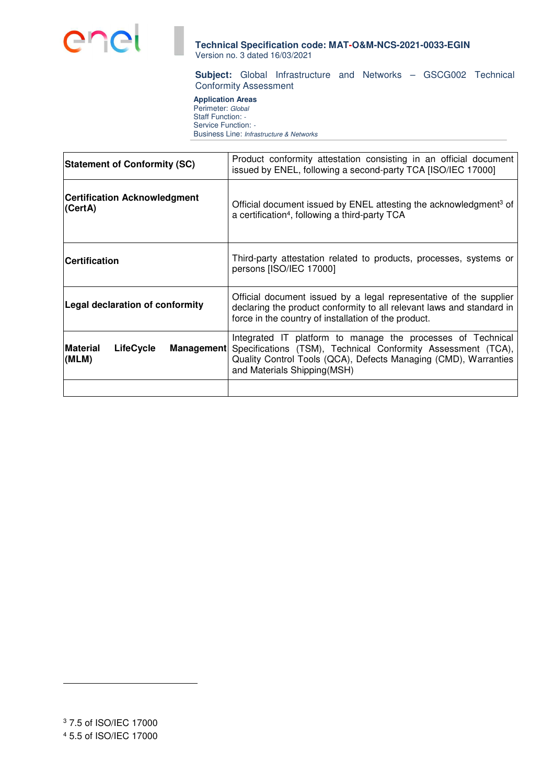

**Subject:** Global Infrastructure and Networks – GSCG002 Technical Conformity Assessment

**Application Areas** Perimeter: Global Staff Function: - Service Function: -Business Line: Infrastructure & Networks

| <b>Statement of Conformity (SC)</b>                               | Product conformity attestation consisting in an official document<br>issued by ENEL, following a second-party TCA [ISO/IEC 17000]                                                                                             |  |  |  |
|-------------------------------------------------------------------|-------------------------------------------------------------------------------------------------------------------------------------------------------------------------------------------------------------------------------|--|--|--|
| <b>Certification Acknowledgment</b><br>(CertA)                    | Official document issued by ENEL attesting the acknowledgment <sup>3</sup> of<br>a certification <sup>4</sup> , following a third-party TCA                                                                                   |  |  |  |
| <b>Certification</b>                                              | Third-party attestation related to products, processes, systems or<br>persons [ISO/IEC 17000]                                                                                                                                 |  |  |  |
| Legal declaration of conformity                                   | Official document issued by a legal representative of the supplier<br>declaring the product conformity to all relevant laws and standard in<br>force in the country of installation of the product.                           |  |  |  |
| <b>Material</b><br><b>LifeCycle</b><br><b>Management</b><br>(MLM) | Integrated IT platform to manage the processes of Technical<br>Specifications (TSM), Technical Conformity Assessment (TCA),<br>Quality Control Tools (QCA), Defects Managing (CMD), Warranties<br>and Materials Shipping(MSH) |  |  |  |
|                                                                   |                                                                                                                                                                                                                               |  |  |  |

l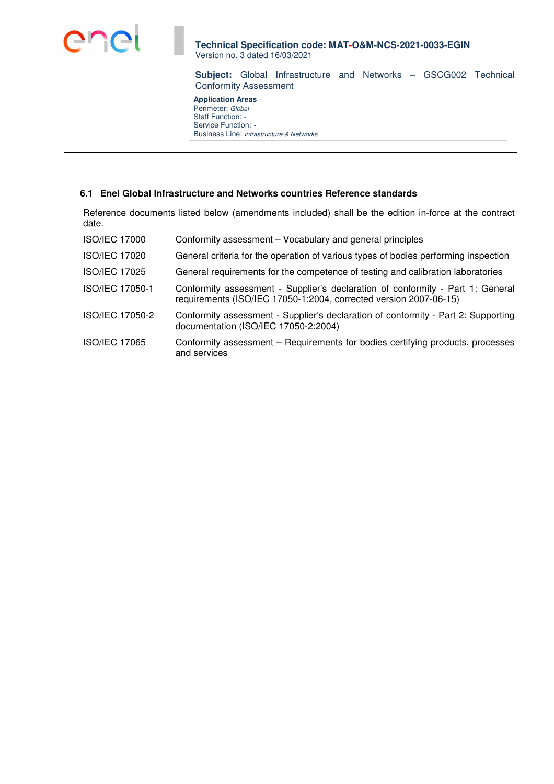

**Subject:** Global Infrastructure and Networks – GSCG002 Technical Conformity Assessment

**Application Areas** Perimeter: Global Staff Function: -Service Function: -Business Line: Infrastructure & Networks

#### **6.1 Enel Global Infrastructure and Networks countries Reference standards**

Reference documents listed below (amendments included) shall be the edition in-force at the contract date.

- ISO/IEC 17000 Conformity assessment Vocabulary and general principles
- ISO/IEC 17020 General criteria for the operation of various types of bodies performing inspection
- ISO/IEC 17025 General requirements for the competence of testing and calibration laboratories
- ISO/IEC 17050-1 Conformity assessment Supplier's declaration of conformity Part 1: General requirements (ISO/IEC 17050-1:2004, corrected version 2007-06-15)
- ISO/IEC 17050-2 Conformity assessment Supplier's declaration of conformity Part 2: Supporting documentation (ISO/IEC 17050-2:2004)
- ISO/IEC 17065 Conformity assessment Requirements for bodies certifying products, processes and services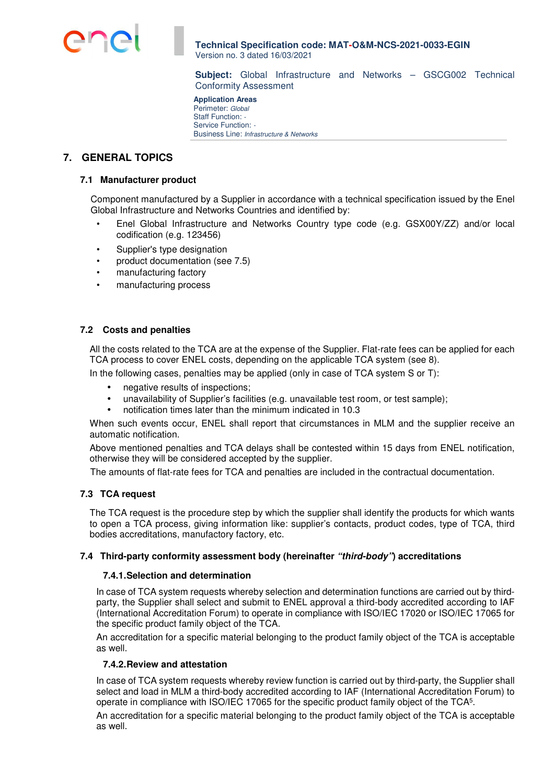

**Subject:** Global Infrastructure and Networks – GSCG002 Technical Conformity Assessment

**Application Areas** Perimeter: Global Staff Function: - Service Function: -Business Line: Infrastructure & Networks

# **7. GENERAL TOPICS**

## **7.1 Manufacturer product**

Component manufactured by a Supplier in accordance with a technical specification issued by the Enel Global Infrastructure and Networks Countries and identified by:

- Enel Global Infrastructure and Networks Country type code (e.g. GSX00Y/ZZ) and/or local codification (e.g. 123456)
- Supplier's type designation
- product documentation (see 7.5)
- manufacturing factory
- manufacturing process

## **7.2 Costs and penalties**

All the costs related to the TCA are at the expense of the Supplier. Flat-rate fees can be applied for each TCA process to cover ENEL costs, depending on the applicable TCA system (see 8).

In the following cases, penalties may be applied (only in case of TCA system S or T):

- negative results of inspections;
- unavailability of Supplier's facilities (e.g. unavailable test room, or test sample);
- notification times later than the minimum indicated in 10.3

When such events occur, ENEL shall report that circumstances in MLM and the supplier receive an automatic notification.

Above mentioned penalties and TCA delays shall be contested within 15 days from ENEL notification, otherwise they will be considered accepted by the supplier.

The amounts of flat-rate fees for TCA and penalties are included in the contractual documentation.

#### **7.3 TCA request**

The TCA request is the procedure step by which the supplier shall identify the products for which wants to open a TCA process, giving information like: supplier's contacts, product codes, type of TCA, third bodies accreditations, manufactory factory, etc.

#### **7.4 Third-party conformity assessment body (hereinafter "third-body") accreditations**

#### **7.4.1. Selection and determination**

In case of TCA system requests whereby selection and determination functions are carried out by thirdparty, the Supplier shall select and submit to ENEL approval a third-body accredited according to IAF (International Accreditation Forum) to operate in compliance with ISO/IEC 17020 or ISO/IEC 17065 for the specific product family object of the TCA.

An accreditation for a specific material belonging to the product family object of the TCA is acceptable as well.

## **7.4.2. Review and attestation**

In case of TCA system requests whereby review function is carried out by third-party, the Supplier shall select and load in MLM a third-body accredited according to IAF (International Accreditation Forum) to operate in compliance with ISO/IEC 17065 for the specific product family object of the TCA<sup>5</sup>.

An accreditation for a specific material belonging to the product family object of the TCA is acceptable as well.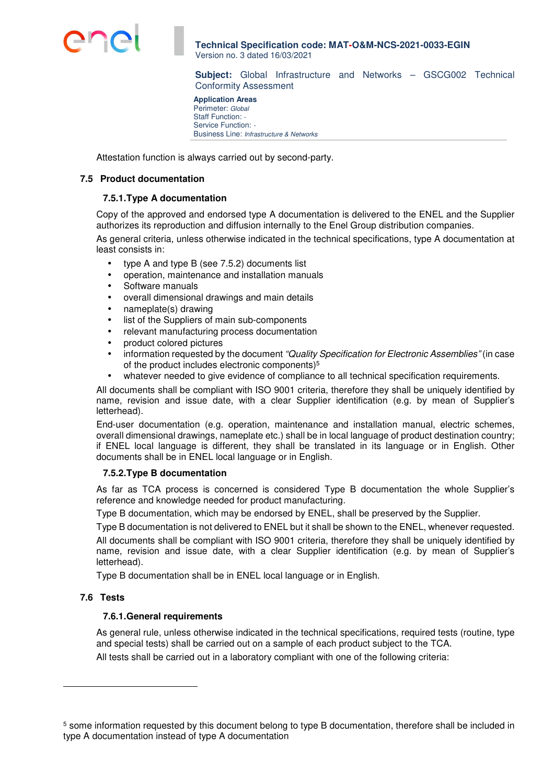

**Subject:** Global Infrastructure and Networks – GSCG002 Technical Conformity Assessment

**Application Areas** Perimeter: Global Staff Function: - Service Function: - Business Line: Infrastructure & Networks

Attestation function is always carried out by second-party.

#### **7.5 Product documentation**

## **7.5.1. Type A documentation**

Copy of the approved and endorsed type A documentation is delivered to the ENEL and the Supplier authorizes its reproduction and diffusion internally to the Enel Group distribution companies.

As general criteria, unless otherwise indicated in the technical specifications, type A documentation at least consists in:

- type A and type B (see 7.5.2) documents list
- operation, maintenance and installation manuals
- Software manuals
- overall dimensional drawings and main details
- nameplate(s) drawing
- list of the Suppliers of main sub-components
- relevant manufacturing process documentation
- product colored pictures
- information requested by the document "Quality Specification for Electronic Assemblies" (in case of the product includes electronic components)<sup>5</sup>
- whatever needed to give evidence of compliance to all technical specification requirements.

All documents shall be compliant with ISO 9001 criteria, therefore they shall be uniquely identified by name, revision and issue date, with a clear Supplier identification (e.g. by mean of Supplier's letterhead).

End-user documentation (e.g. operation, maintenance and installation manual, electric schemes, overall dimensional drawings, nameplate etc.) shall be in local language of product destination country; if ENEL local language is different, they shall be translated in its language or in English. Other documents shall be in ENEL local language or in English.

#### **7.5.2. Type B documentation**

As far as TCA process is concerned is considered Type B documentation the whole Supplier's reference and knowledge needed for product manufacturing.

Type B documentation, which may be endorsed by ENEL, shall be preserved by the Supplier.

Type B documentation is not delivered to ENEL but it shall be shown to the ENEL, whenever requested.

All documents shall be compliant with ISO 9001 criteria, therefore they shall be uniquely identified by name, revision and issue date, with a clear Supplier identification (e.g. by mean of Supplier's letterhead).

Type B documentation shall be in ENEL local language or in English.

## **7.6 Tests**

l

## **7.6.1. General requirements**

As general rule, unless otherwise indicated in the technical specifications, required tests (routine, type and special tests) shall be carried out on a sample of each product subject to the TCA.

All tests shall be carried out in a laboratory compliant with one of the following criteria:

<sup>&</sup>lt;sup>5</sup> some information requested by this document belong to type B documentation, therefore shall be included in type A documentation instead of type A documentation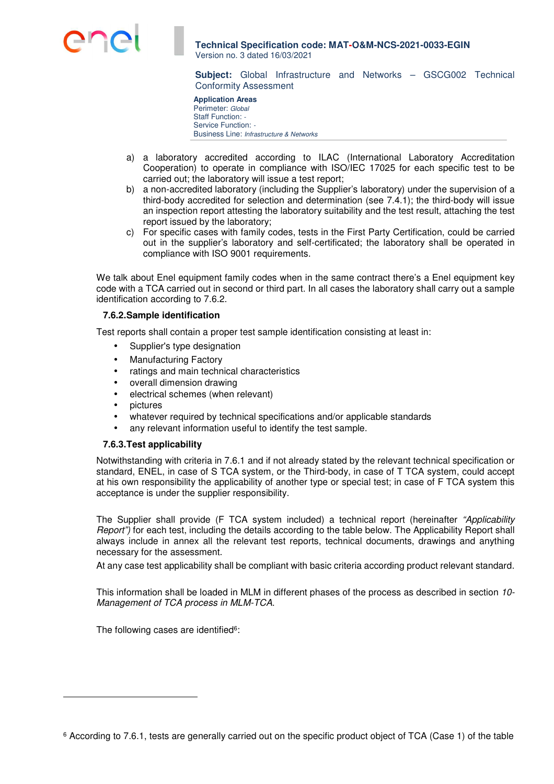

**Subject:** Global Infrastructure and Networks – GSCG002 Technical Conformity Assessment

| <b>Application Areas</b>                 |
|------------------------------------------|
| Perimeter: Global                        |
| Staff Function: -                        |
| Service Function: -                      |
| Business Line: Infrastructure & Networks |
|                                          |

- a) a laboratory accredited according to ILAC (International Laboratory Accreditation Cooperation) to operate in compliance with ISO/IEC 17025 for each specific test to be carried out; the laboratory will issue a test report;
- b) a non-accredited laboratory (including the Supplier's laboratory) under the supervision of a third-body accredited for selection and determination (see 7.4.1); the third-body will issue an inspection report attesting the laboratory suitability and the test result, attaching the test report issued by the laboratory;
- c) For specific cases with family codes, tests in the First Party Certification, could be carried out in the supplier's laboratory and self-certificated; the laboratory shall be operated in compliance with ISO 9001 requirements.

We talk about Enel equipment family codes when in the same contract there's a Enel equipment key code with a TCA carried out in second or third part. In all cases the laboratory shall carry out a sample identification according to 7.6.2.

## **7.6.2. Sample identification**

Test reports shall contain a proper test sample identification consisting at least in:

- Supplier's type designation
- Manufacturing Factory
- ratings and main technical characteristics
- overall dimension drawing
- electrical schemes (when relevant)
- pictures
- whatever required by technical specifications and/or applicable standards
- any relevant information useful to identify the test sample.

#### **7.6.3. Test applicability**

Notwithstanding with criteria in 7.6.1 and if not already stated by the relevant technical specification or standard, ENEL, in case of S TCA system, or the Third-body, in case of T TCA system, could accept at his own responsibility the applicability of another type or special test; in case of F TCA system this acceptance is under the supplier responsibility.

The Supplier shall provide (F TCA system included) a technical report (hereinafter "Applicability Report") for each test, including the details according to the table below. The Applicability Report shall always include in annex all the relevant test reports, technical documents, drawings and anything necessary for the assessment.

At any case test applicability shall be compliant with basic criteria according product relevant standard.

This information shall be loaded in MLM in different phases of the process as described in section 10- Management of TCA process in MLM-TCA.

The following cases are identified $6$ :

l

<sup>6</sup> According to 7.6.1, tests are generally carried out on the specific product object of TCA (Case 1) of the table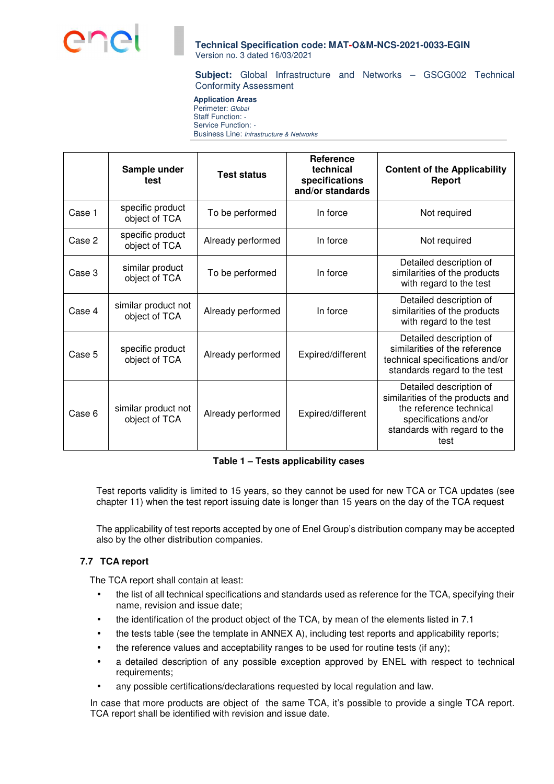

**Subject:** Global Infrastructure and Networks – GSCG002 Technical Conformity Assessment

**Application Areas** Perimeter: Global Staff Function: -Service Function: - Business Line: Infrastructure & Networks

|                                                                     | Sample under<br>test                                      | <b>Test status</b> | <b>Reference</b><br>technical<br>specifications<br>and/or standards                                                                                     | <b>Content of the Applicability</b><br>Report                                                                               |  |  |
|---------------------------------------------------------------------|-----------------------------------------------------------|--------------------|---------------------------------------------------------------------------------------------------------------------------------------------------------|-----------------------------------------------------------------------------------------------------------------------------|--|--|
| Case 1                                                              | specific product<br>object of TCA                         | To be performed    | In force                                                                                                                                                | Not required                                                                                                                |  |  |
| Case 2                                                              | specific product<br>Already performed<br>object of TCA    |                    | In force                                                                                                                                                | Not required                                                                                                                |  |  |
| Case 3                                                              | similar product<br>To be performed<br>object of TCA       |                    | Detailed description of<br>similarities of the products<br>In force<br>with regard to the test                                                          |                                                                                                                             |  |  |
| Case 4                                                              | similar product not<br>Already performed<br>object of TCA |                    | In force                                                                                                                                                | Detailed description of<br>similarities of the products<br>with regard to the test                                          |  |  |
| Case 5                                                              | specific product<br>object of TCA                         | Already performed  | Expired/different                                                                                                                                       | Detailed description of<br>similarities of the reference<br>technical specifications and/or<br>standards regard to the test |  |  |
| similar product not<br>Case 6<br>Already performed<br>object of TCA |                                                           | Expired/different  | Detailed description of<br>similarities of the products and<br>the reference technical<br>specifications and/or<br>standards with regard to the<br>test |                                                                                                                             |  |  |

## **Table 1 – Tests applicability cases**

Test reports validity is limited to 15 years, so they cannot be used for new TCA or TCA updates (see chapter 11) when the test report issuing date is longer than 15 years on the day of the TCA request

The applicability of test reports accepted by one of Enel Group's distribution company may be accepted also by the other distribution companies.

## **7.7 TCA report**

The TCA report shall contain at least:

- the list of all technical specifications and standards used as reference for the TCA, specifying their name, revision and issue date;
- the identification of the product object of the TCA, by mean of the elements listed in 7.1
- the tests table (see the template in ANNEX A), including test reports and applicability reports;
- the reference values and acceptability ranges to be used for routine tests (if any);
- a detailed description of any possible exception approved by ENEL with respect to technical requirements;
- any possible certifications/declarations requested by local regulation and law.

In case that more products are object of the same TCA, it's possible to provide a single TCA report. TCA report shall be identified with revision and issue date.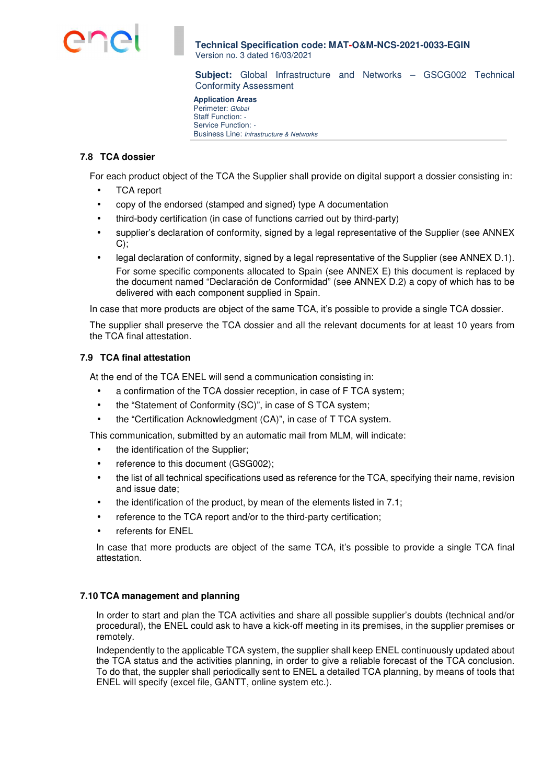

**Subject:** Global Infrastructure and Networks – GSCG002 Technical Conformity Assessment

**Application Areas** Perimeter: Global Staff Function: -Service Function: - Business Line: Infrastructure & Networks

## **7.8 TCA dossier**

For each product object of the TCA the Supplier shall provide on digital support a dossier consisting in:

- TCA report
- copy of the endorsed (stamped and signed) type A documentation
- third-body certification (in case of functions carried out by third-party)
- supplier's declaration of conformity, signed by a legal representative of the Supplier (see ANNEX C);
- legal declaration of conformity, signed by a legal representative of the Supplier (see ANNEX D.1). For some specific components allocated to Spain (see ANNEX E) this document is replaced by the document named "Declaración de Conformidad" (see ANNEX D.2) a copy of which has to be delivered with each component supplied in Spain.

In case that more products are object of the same TCA, it's possible to provide a single TCA dossier.

The supplier shall preserve the TCA dossier and all the relevant documents for at least 10 years from the TCA final attestation.

## **7.9 TCA final attestation**

At the end of the TCA ENEL will send a communication consisting in:

- a confirmation of the TCA dossier reception, in case of F TCA system;
- the "Statement of Conformity (SC)", in case of STCA system;
- the "Certification Acknowledgment (CA)", in case of T TCA system.

This communication, submitted by an automatic mail from MLM, will indicate:

- the identification of the Supplier;
- reference to this document (GSG002);
- the list of all technical specifications used as reference for the TCA, specifying their name, revision and issue date;
- the identification of the product, by mean of the elements listed in 7.1;
- reference to the TCA report and/or to the third-party certification;
- referents for ENEL

In case that more products are object of the same TCA, it's possible to provide a single TCA final attestation.

## **7.10 TCA management and planning**

In order to start and plan the TCA activities and share all possible supplier's doubts (technical and/or procedural), the ENEL could ask to have a kick-off meeting in its premises, in the supplier premises or remotely.

Independently to the applicable TCA system, the supplier shall keep ENEL continuously updated about the TCA status and the activities planning, in order to give a reliable forecast of the TCA conclusion. To do that, the suppler shall periodically sent to ENEL a detailed TCA planning, by means of tools that ENEL will specify (excel file, GANTT, online system etc.).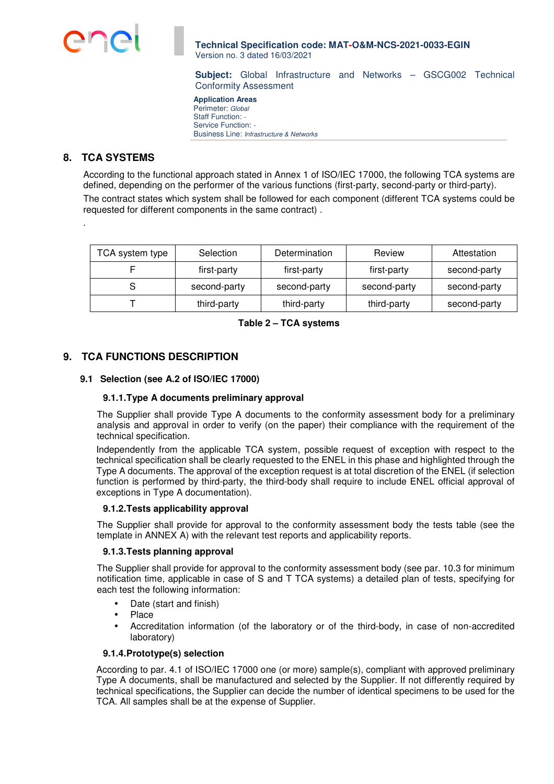

**Subject:** Global Infrastructure and Networks – GSCG002 Technical Conformity Assessment

**Application Areas** Perimeter: Global Staff Function: - Service Function: - Business Line: Infrastructure & Networks

# **8. TCA SYSTEMS**

.

According to the functional approach stated in Annex 1 of ISO/IEC 17000, the following TCA systems are defined, depending on the performer of the various functions (first-party, second-party or third-party). The contract states which system shall be followed for each component (different TCA systems could be requested for different components in the same contract) .

| TCA system type | Selection    | Determination | Review       | Attestation  |  |
|-----------------|--------------|---------------|--------------|--------------|--|
|                 | first-party  | first-party   | first-party  | second-party |  |
|                 | second-party | second-party  | second-party | second-party |  |
|                 | third-party  | third-party   | third-party  | second-party |  |

**Table 2 – TCA systems** 

# **9. TCA FUNCTIONS DESCRIPTION**

## **9.1 Selection (see A.2 of ISO/IEC 17000)**

## **9.1.1. Type A documents preliminary approval**

The Supplier shall provide Type A documents to the conformity assessment body for a preliminary analysis and approval in order to verify (on the paper) their compliance with the requirement of the technical specification.

Independently from the applicable TCA system, possible request of exception with respect to the technical specification shall be clearly requested to the ENEL in this phase and highlighted through the Type A documents. The approval of the exception request is at total discretion of the ENEL (if selection function is performed by third-party, the third-body shall require to include ENEL official approval of exceptions in Type A documentation).

## **9.1.2. Tests applicability approval**

The Supplier shall provide for approval to the conformity assessment body the tests table (see the template in ANNEX A) with the relevant test reports and applicability reports.

## **9.1.3. Tests planning approval**

The Supplier shall provide for approval to the conformity assessment body (see par. 10.3 for minimum notification time, applicable in case of S and T TCA systems) a detailed plan of tests, specifying for each test the following information:

- Date (start and finish)
- Place
- Accreditation information (of the laboratory or of the third-body, in case of non-accredited laboratory)

## **9.1.4. Prototype(s) selection**

According to par. 4.1 of ISO/IEC 17000 one (or more) sample(s), compliant with approved preliminary Type A documents, shall be manufactured and selected by the Supplier. If not differently required by technical specifications, the Supplier can decide the number of identical specimens to be used for the TCA. All samples shall be at the expense of Supplier.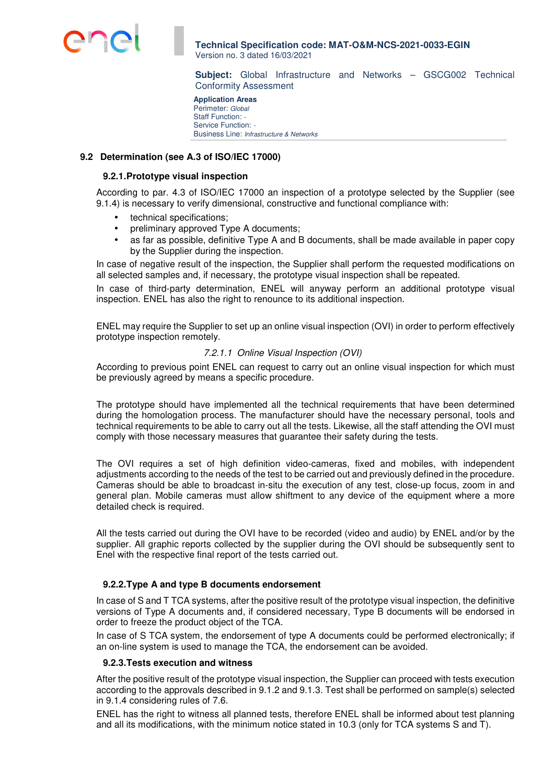

**Subject:** Global Infrastructure and Networks – GSCG002 Technical Conformity Assessment

```
Application Areas
Perimeter: Global
Staff Function: - 
Service Function: - 
Business Line: Infrastructure & Networks
```
## **9.2 Determination (see A.3 of ISO/IEC 17000)**

#### **9.2.1. Prototype visual inspection**

According to par. 4.3 of ISO/IEC 17000 an inspection of a prototype selected by the Supplier (see 9.1.4) is necessary to verify dimensional, constructive and functional compliance with:

- technical specifications;
- preliminary approved Type A documents;
- as far as possible, definitive Type A and B documents, shall be made available in paper copy by the Supplier during the inspection.

In case of negative result of the inspection, the Supplier shall perform the requested modifications on all selected samples and, if necessary, the prototype visual inspection shall be repeated.

In case of third-party determination, ENEL will anyway perform an additional prototype visual inspection. ENEL has also the right to renounce to its additional inspection.

ENEL may require the Supplier to set up an online visual inspection (OVI) in order to perform effectively prototype inspection remotely.

#### 7.2.1.1 Online Visual Inspection (OVI)

According to previous point ENEL can request to carry out an online visual inspection for which must be previously agreed by means a specific procedure.

The prototype should have implemented all the technical requirements that have been determined during the homologation process. The manufacturer should have the necessary personal, tools and technical requirements to be able to carry out all the tests. Likewise, all the staff attending the OVI must comply with those necessary measures that guarantee their safety during the tests.

The OVI requires a set of high definition video-cameras, fixed and mobiles, with independent adjustments according to the needs of the test to be carried out and previously defined in the procedure. Cameras should be able to broadcast in-situ the execution of any test, close-up focus, zoom in and general plan. Mobile cameras must allow shiftment to any device of the equipment where a more detailed check is required.

All the tests carried out during the OVI have to be recorded (video and audio) by ENEL and/or by the supplier. All graphic reports collected by the supplier during the OVI should be subsequently sent to Enel with the respective final report of the tests carried out.

#### **9.2.2. Type A and type B documents endorsement**

In case of S and T TCA systems, after the positive result of the prototype visual inspection, the definitive versions of Type A documents and, if considered necessary, Type B documents will be endorsed in order to freeze the product object of the TCA.

In case of S TCA system, the endorsement of type A documents could be performed electronically; if an on-line system is used to manage the TCA, the endorsement can be avoided.

#### **9.2.3. Tests execution and witness**

After the positive result of the prototype visual inspection, the Supplier can proceed with tests execution according to the approvals described in 9.1.2 and 9.1.3. Test shall be performed on sample(s) selected in 9.1.4 considering rules of 7.6.

ENEL has the right to witness all planned tests, therefore ENEL shall be informed about test planning and all its modifications, with the minimum notice stated in 10.3 (only for TCA systems S and T).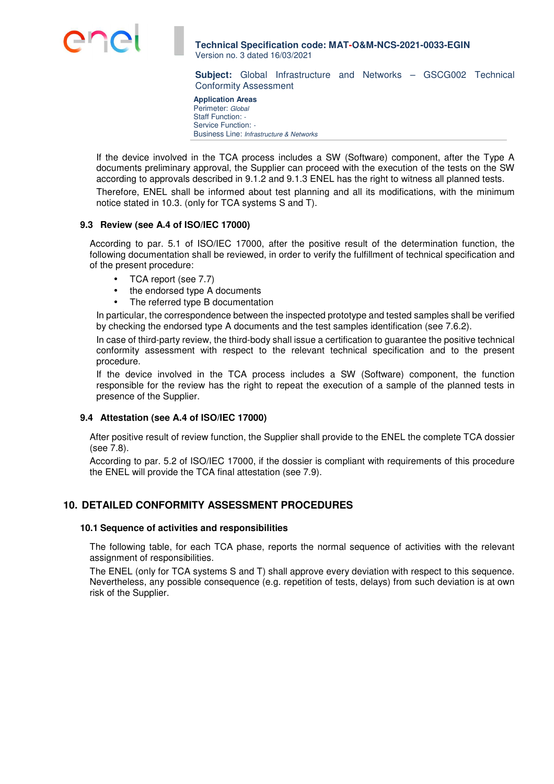

**Subject:** Global Infrastructure and Networks – GSCG002 Technical Conformity Assessment

**Application Areas** Perimeter: Global Staff Function: - Service Function: - Business Line: Infrastructure & Networks

If the device involved in the TCA process includes a SW (Software) component, after the Type A documents preliminary approval, the Supplier can proceed with the execution of the tests on the SW according to approvals described in 9.1.2 and 9.1.3 ENEL has the right to witness all planned tests.

Therefore, ENEL shall be informed about test planning and all its modifications, with the minimum notice stated in 10.3. (only for TCA systems S and T).

## **9.3 Review (see A.4 of ISO/IEC 17000)**

According to par. 5.1 of ISO/IEC 17000, after the positive result of the determination function, the following documentation shall be reviewed, in order to verify the fulfillment of technical specification and of the present procedure:

- TCA report (see 7.7)
- the endorsed type A documents
- The referred type B documentation

In particular, the correspondence between the inspected prototype and tested samples shall be verified by checking the endorsed type A documents and the test samples identification (see 7.6.2).

In case of third-party review, the third-body shall issue a certification to guarantee the positive technical conformity assessment with respect to the relevant technical specification and to the present procedure.

If the device involved in the TCA process includes a SW (Software) component, the function responsible for the review has the right to repeat the execution of a sample of the planned tests in presence of the Supplier.

#### **9.4 Attestation (see A.4 of ISO/IEC 17000)**

After positive result of review function, the Supplier shall provide to the ENEL the complete TCA dossier (see 7.8).

According to par. 5.2 of ISO/IEC 17000, if the dossier is compliant with requirements of this procedure the ENEL will provide the TCA final attestation (see 7.9).

## **10. DETAILED CONFORMITY ASSESSMENT PROCEDURES**

#### **10.1 Sequence of activities and responsibilities**

The following table, for each TCA phase, reports the normal sequence of activities with the relevant assignment of responsibilities.

The ENEL (only for TCA systems S and T) shall approve every deviation with respect to this sequence. Nevertheless, any possible consequence (e.g. repetition of tests, delays) from such deviation is at own risk of the Supplier.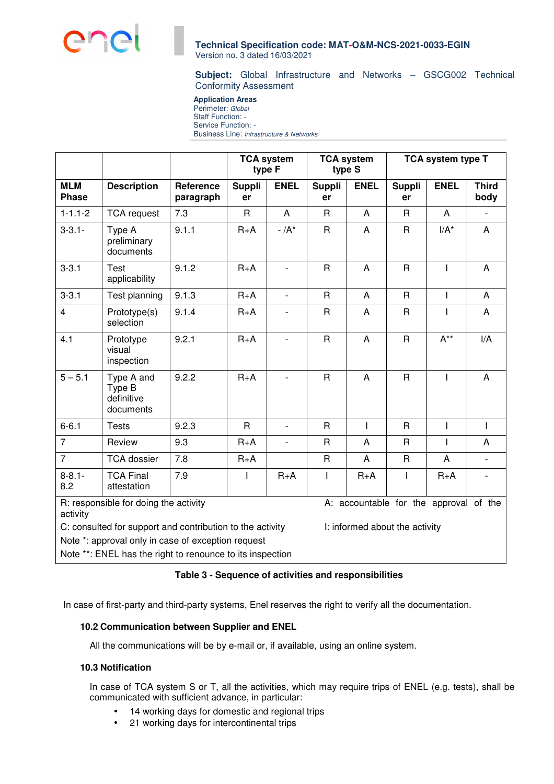

**Subject:** Global Infrastructure and Networks – GSCG002 Technical Conformity Assessment

**Application Areas** Perimeter: Global Staff Function: -Service Function: -Business Line: Infrastructure & Networks

|                                                                                                                                                                                            |                                                                                                                 |                        | <b>TCA system</b><br><b>TCA system</b><br>type F<br>type S |                | TCA system type T |                |                     |                |                          |
|--------------------------------------------------------------------------------------------------------------------------------------------------------------------------------------------|-----------------------------------------------------------------------------------------------------------------|------------------------|------------------------------------------------------------|----------------|-------------------|----------------|---------------------|----------------|--------------------------|
| <b>MLM</b><br><b>Phase</b>                                                                                                                                                                 | <b>Description</b>                                                                                              | Reference<br>paragraph | <b>Suppli</b><br>er                                        | <b>ENEL</b>    | Suppli<br>er      | <b>ENEL</b>    | <b>Suppli</b><br>er | <b>ENEL</b>    | <b>Third</b><br>body     |
| $1 - 1.1 - 2$                                                                                                                                                                              | <b>TCA</b> request                                                                                              | 7.3                    | $\mathsf{R}$                                               | A              | $\mathsf{R}$      | $\overline{A}$ | $\mathsf{R}$        | $\overline{A}$ |                          |
| $3 - 3.1 -$                                                                                                                                                                                | Type A<br>preliminary<br>documents                                                                              | 9.1.1                  | $R+A$                                                      | $-/A^*$        | $\mathsf{R}$      | A              | $\mathsf{R}$        | $I/A^*$        | A                        |
| $3 - 3.1$                                                                                                                                                                                  | Test<br>applicability                                                                                           | 9.1.2                  | $R+A$                                                      |                | $\mathsf{R}$      | A              | $\mathsf{R}$        | $\mathsf{I}$   | A                        |
| $3 - 3.1$                                                                                                                                                                                  | Test planning                                                                                                   | 9.1.3                  | $R+A$                                                      | $\overline{a}$ | $\mathsf{R}$      | A              | $\mathsf{R}$        | $\mathsf{I}$   | A                        |
| $\overline{4}$                                                                                                                                                                             | Prototype(s)<br>selection                                                                                       | 9.1.4                  | $R+A$                                                      |                | $\mathsf{R}$      | A              | $\mathsf{R}$        | T              | A                        |
| 4.1                                                                                                                                                                                        | Prototype<br>visual<br>inspection                                                                               | 9.2.1                  | $R+A$                                                      | $\blacksquare$ | $\mathsf{R}$      | A              | $\mathsf{R}$        | $A^{**}$       | I/A                      |
| $5 - 5.1$                                                                                                                                                                                  | Type A and<br>Type B<br>definitive<br>documents                                                                 | 9.2.2                  | $R+A$                                                      | $\blacksquare$ | $\mathsf{R}$      | A              | $\mathsf{R}$        | T              | A                        |
| $6 - 6.1$                                                                                                                                                                                  | <b>Tests</b>                                                                                                    | 9.2.3                  | $\mathsf{R}$                                               | $\blacksquare$ | $\mathsf{R}$      | $\mathbf{I}$   | $\mathsf{R}$        | T              | $\mathbf{I}$             |
| $\overline{7}$                                                                                                                                                                             | Review                                                                                                          | 9.3                    | $R+A$                                                      | $\overline{a}$ | $\mathsf{R}$      | A              | $\mathsf{R}$        | $\mathsf{I}$   | A                        |
| $\overline{7}$                                                                                                                                                                             | <b>TCA</b> dossier                                                                                              | 7.8                    | $R+A$                                                      |                | $\mathsf{R}$      | A              | R                   | A              | $\overline{a}$           |
| $8 - 8.1 -$<br>8.2                                                                                                                                                                         | <b>TCA Final</b><br>attestation                                                                                 | 7.9                    | $\mathbf{I}$                                               | $R+A$          | T                 | $R+A$          | T                   | $R+A$          | $\overline{\phantom{0}}$ |
| R: responsible for doing the activity<br>A: accountable for the approval of the<br>activity<br>C: consulted for support and contribution to the activity<br>I: informed about the activity |                                                                                                                 |                        |                                                            |                |                   |                |                     |                |                          |
|                                                                                                                                                                                            | Note *: approval only in case of exception request<br>Note **: ENEL has the right to renounce to its inspection |                        |                                                            |                |                   |                |                     |                |                          |

## **Table 3 - Sequence of activities and responsibilities**

In case of first-party and third-party systems, Enel reserves the right to verify all the documentation.

#### **10.2 Communication between Supplier and ENEL**

All the communications will be by e-mail or, if available, using an online system.

## **10.3 Notification**

In case of TCA system S or T, all the activities, which may require trips of ENEL (e.g. tests), shall be communicated with sufficient advance, in particular:

- 14 working days for domestic and regional trips
- 21 working days for intercontinental trips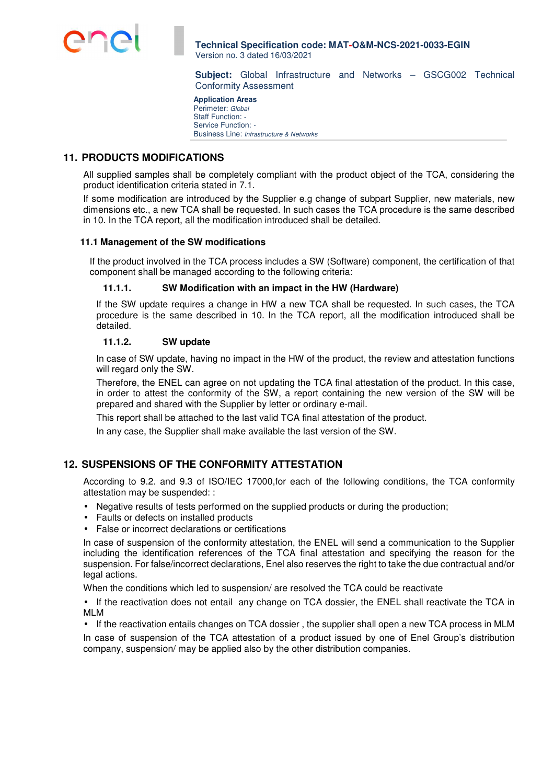

**Subject:** Global Infrastructure and Networks – GSCG002 Technical Conformity Assessment

**Application Areas** Perimeter: Global Staff Function: - Service Function: - Business Line: Infrastructure & Networks

## **11. PRODUCTS MODIFICATIONS**

All supplied samples shall be completely compliant with the product object of the TCA, considering the product identification criteria stated in 7.1.

If some modification are introduced by the Supplier e.g change of subpart Supplier, new materials, new dimensions etc., a new TCA shall be requested. In such cases the TCA procedure is the same described in 10. In the TCA report, all the modification introduced shall be detailed.

## **11.1 Management of the SW modifications**

If the product involved in the TCA process includes a SW (Software) component, the certification of that component shall be managed according to the following criteria:

## **11.1.1. SW Modification with an impact in the HW (Hardware)**

If the SW update requires a change in HW a new TCA shall be requested. In such cases, the TCA procedure is the same described in 10. In the TCA report, all the modification introduced shall be detailed.

## **11.1.2. SW update**

In case of SW update, having no impact in the HW of the product, the review and attestation functions will regard only the SW.

Therefore, the ENEL can agree on not updating the TCA final attestation of the product. In this case, in order to attest the conformity of the SW, a report containing the new version of the SW will be prepared and shared with the Supplier by letter or ordinary e-mail.

This report shall be attached to the last valid TCA final attestation of the product.

In any case, the Supplier shall make available the last version of the SW.

# **12. SUSPENSIONS OF THE CONFORMITY ATTESTATION**

According to 9.2. and 9.3 of ISO/IEC 17000,for each of the following conditions, the TCA conformity attestation may be suspended: :

- Negative results of tests performed on the supplied products or during the production;
- Faults or defects on installed products
- False or incorrect declarations or certifications

In case of suspension of the conformity attestation, the ENEL will send a communication to the Supplier including the identification references of the TCA final attestation and specifying the reason for the suspension. For false/incorrect declarations, Enel also reserves the right to take the due contractual and/or legal actions.

When the conditions which led to suspension/ are resolved the TCA could be reactivate

• If the reactivation does not entail any change on TCA dossier, the ENEL shall reactivate the TCA in MLM

• If the reactivation entails changes on TCA dossier , the supplier shall open a new TCA process in MLM In case of suspension of the TCA attestation of a product issued by one of Enel Group's distribution company, suspension/ may be applied also by the other distribution companies.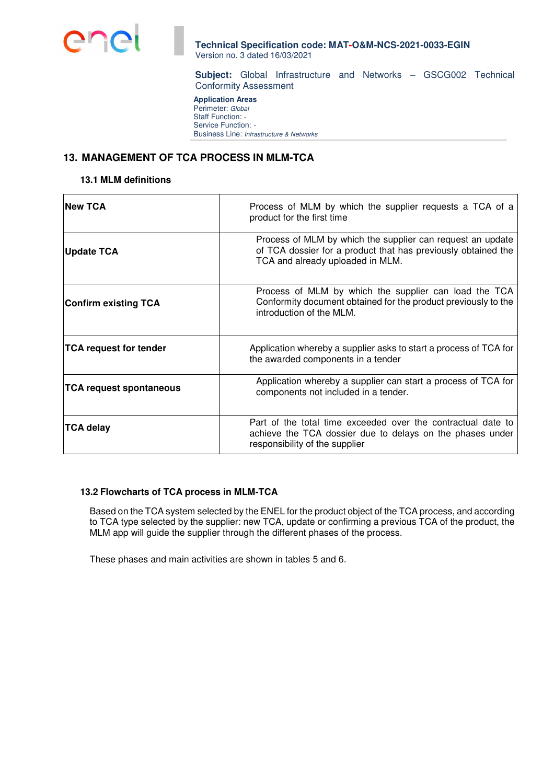

**Subject:** Global Infrastructure and Networks – GSCG002 Technical Conformity Assessment

**Application Areas** Perimeter: Global Staff Function: -Service Function: -Business Line: Infrastructure & Networks

# **13. MANAGEMENT OF TCA PROCESS IN MLM-TCA**

#### **13.1 MLM definitions**

| <b>New TCA</b>                 | Process of MLM by which the supplier requests a TCA of a<br>product for the first time                                                                          |
|--------------------------------|-----------------------------------------------------------------------------------------------------------------------------------------------------------------|
| Update TCA                     | Process of MLM by which the supplier can request an update<br>of TCA dossier for a product that has previously obtained the<br>TCA and already uploaded in MLM. |
| <b>Confirm existing TCA</b>    | Process of MLM by which the supplier can load the TCA<br>Conformity document obtained for the product previously to the<br>introduction of the MLM.             |
| <b>TCA request for tender</b>  | Application whereby a supplier asks to start a process of TCA for<br>the awarded components in a tender                                                         |
| <b>TCA request spontaneous</b> | Application whereby a supplier can start a process of TCA for<br>components not included in a tender.                                                           |
| <b>TCA delay</b>               | Part of the total time exceeded over the contractual date to<br>achieve the TCA dossier due to delays on the phases under<br>responsibility of the supplier     |

## **13.2 Flowcharts of TCA process in MLM-TCA**

Based on the TCA system selected by the ENEL for the product object of the TCA process, and according to TCA type selected by the supplier: new TCA, update or confirming a previous TCA of the product, the MLM app will guide the supplier through the different phases of the process.

These phases and main activities are shown in tables 5 and 6.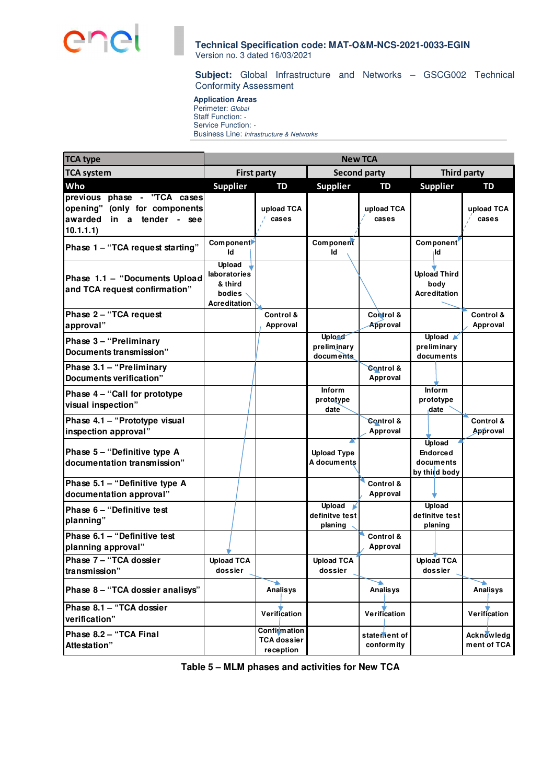

**Subject:** Global Infrastructure and Networks – GSCG002 Technical Conformity Assessment

**Application Areas** Perimeter: Global Staff Function: - Service Function: -Business Line: Infrastructure & Networks

| <b>TCA type</b>                                                                                        | <b>New TCA</b>                                                            |                                                 |                                                           |                                  |                                                         |                                  |
|--------------------------------------------------------------------------------------------------------|---------------------------------------------------------------------------|-------------------------------------------------|-----------------------------------------------------------|----------------------------------|---------------------------------------------------------|----------------------------------|
| <b>TCA system</b>                                                                                      |                                                                           | <b>First party</b>                              |                                                           | <b>Second party</b>              |                                                         | Third party                      |
| Who                                                                                                    | <b>Supplier</b>                                                           | TD                                              | <b>Supplier</b>                                           | <b>TD</b>                        | <b>Supplier</b>                                         | <b>TD</b>                        |
| previous phase - "TCA cases<br>opening" (only for components<br>awarded in a tender - see<br>10.1.1.1) |                                                                           | upload TCA<br>cases                             |                                                           | upload TCA<br>cases              |                                                         | upload TCA<br>cases              |
| Phase 1 - "TCA request starting"                                                                       | <b>Component</b><br>ld                                                    |                                                 | Component<br>Id                                           |                                  | Component'<br>ıld                                       |                                  |
| Phase 1.1 - "Documents Upload<br>and TCA request confirmation"                                         | <b>Upload</b><br>laboratories<br>& third<br>bodies<br><b>Acreditation</b> |                                                 |                                                           |                                  | <b>Upload Third</b><br>body<br><b>Acreditation</b>      |                                  |
| Phase 2 - "TCA request<br>approval"                                                                    |                                                                           | Control &<br>Approval                           |                                                           | Control &<br>Approval            |                                                         | Control &<br>Approval            |
| Phase 3 - "Preliminary<br>Documents transmission"                                                      |                                                                           |                                                 | Uplo <sub>nd</sub><br>preliminary<br>documents            |                                  | Upload K<br>preliminary<br>documents                    |                                  |
| Phase 3.1 - "Preliminary<br><b>Documents verification"</b>                                             |                                                                           |                                                 |                                                           | <b>Control &amp;</b><br>Approval |                                                         |                                  |
| Phase 4 - "Call for prototype<br>visual inspection"                                                    |                                                                           |                                                 | Inform<br>prototype<br>date                               |                                  | Inform<br>prototype<br>date                             |                                  |
| Phase 4.1 - "Prototype visual<br>inspection approval"                                                  |                                                                           |                                                 |                                                           | <b>Control &amp;</b><br>Approval |                                                         | Control &<br>Approval            |
| Phase 5 - "Definitive type A<br>documentation transmission"                                            |                                                                           |                                                 | <b>Upload Type</b><br>A documents                         |                                  | Upload<br><b>Endorced</b><br>documents<br>by third body |                                  |
| Phase 5.1 - "Definitive type A<br>documentation approval"                                              |                                                                           |                                                 |                                                           | Control &<br>Approval            |                                                         |                                  |
| Phase 6 - "Definitive test<br>planning"                                                                |                                                                           |                                                 | Upload $\blacktriangleright$<br>definitve test<br>planing |                                  | Upload<br>definitve test<br>planing                     |                                  |
| Phase 6.1 - "Definitive test<br>planning approval"                                                     |                                                                           |                                                 |                                                           | Control &<br>Approval            |                                                         |                                  |
| Phase 7 - "TCA dossier<br>transmission"                                                                | <b>Upload TCA</b><br>dossier                                              |                                                 | <b>Upload TCA</b><br>dossier                              |                                  | <b>Upload TCA</b><br>dossier                            |                                  |
| Phase 8 - "TCA dossier analisys"                                                                       |                                                                           | A<br><b>Analisys</b>                            |                                                           | <b>Analisys</b>                  |                                                         | Analisys                         |
| Phase 8.1 - "TCA dossier<br>verification"                                                              |                                                                           | Verification                                    |                                                           | Verification                     |                                                         | Verification                     |
| Phase 8.2 - "TCA Final<br>Attestation"                                                                 |                                                                           | Confirmation<br><b>TCA dossier</b><br>reception |                                                           | statement of<br>conformity       |                                                         | <b>Acknowledg</b><br>ment of TCA |

 **Table 5 – MLM phases and activities for New TCA**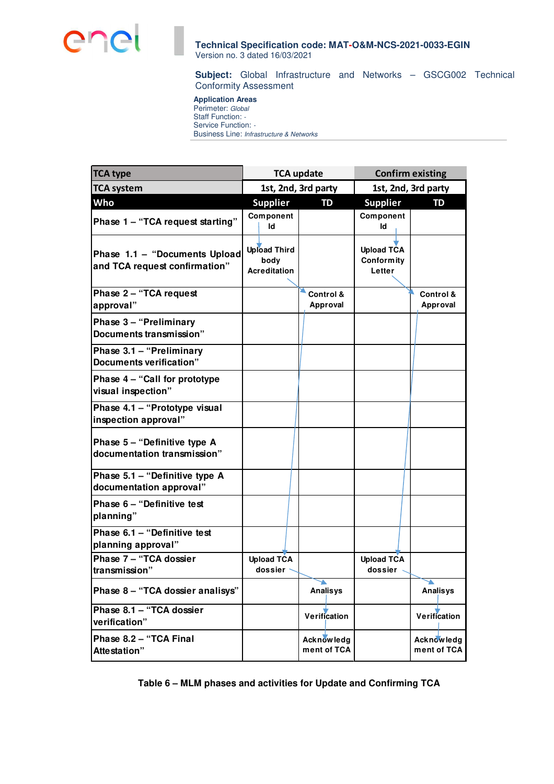

**Subject:** Global Infrastructure and Networks – GSCG002 Technical Conformity Assessment

**Application Areas** Perimeter: Global Staff Function: - Service Function: -Business Line: Infrastructure & Networks

| TCA type                                                       | <b>TCA update</b>                                  |                           | <b>Confirm existing</b>                          |                           |
|----------------------------------------------------------------|----------------------------------------------------|---------------------------|--------------------------------------------------|---------------------------|
| <b>TCA system</b>                                              |                                                    | 1st, 2nd, 3rd party       |                                                  | 1st, 2nd, 3rd party       |
| Who                                                            | <b>Supplier</b>                                    | <b>TD</b>                 | <b>Supplier</b>                                  | TD                        |
| Phase 1 - "TCA request starting"                               | Component<br>Id                                    |                           | Component<br>Id                                  |                           |
| Phase 1.1 - "Documents Upload<br>and TCA request confirmation" | <b>Upload Third</b><br>body<br><b>Acreditation</b> |                           | <b>Upload TCA</b><br><b>Conformity</b><br>Letter |                           |
| Phase 2 - "TCA request<br>approval"                            |                                                    | Control &<br>Approval     |                                                  | Control &<br>Approval     |
| Phase 3 - "Preliminary<br>Documents transmission"              |                                                    |                           |                                                  |                           |
| Phase 3.1 - "Preliminary<br>Documents verification"            |                                                    |                           |                                                  |                           |
| Phase 4 - "Call for prototype<br>visual inspection"            |                                                    |                           |                                                  |                           |
| Phase 4.1 - "Prototype visual<br>inspection approval"          |                                                    |                           |                                                  |                           |
| Phase 5 - "Definitive type A<br>documentation transmission"    |                                                    |                           |                                                  |                           |
| Phase 5.1 - "Definitive type A<br>documentation approval"      |                                                    |                           |                                                  |                           |
| Phase 6 - "Definitive test<br>planning"                        |                                                    |                           |                                                  |                           |
| Phase 6.1 - "Definitive test<br>planning approval"             |                                                    |                           |                                                  |                           |
| Phase 7 - "TCA dossier<br>transmission"                        | <b>Upload TCA</b><br>dossier                       |                           | <b>Upload TCA</b><br>dossier                     |                           |
| Phase 8 - "TCA dossier analisys"                               |                                                    | <b>Analisys</b>           |                                                  | <b>Analisys</b>           |
| Phase 8.1 - "TCA dossier<br>verification"                      |                                                    | Verification              |                                                  | Verification              |
| Phase 8.2 - "TCA Final<br>Attestation"                         |                                                    | Acknowledg<br>ment of TCA |                                                  | Acknowledg<br>ment of TCA |

**Table 6 – MLM phases and activities for Update and Confirming TCA**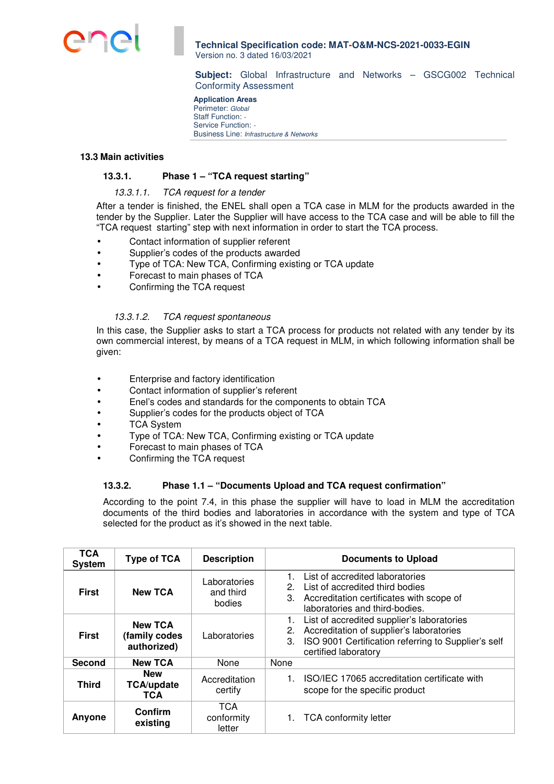

**Subject:** Global Infrastructure and Networks – GSCG002 Technical Conformity Assessment

#### **Application Areas** Perimeter: Global Staff Function: - Service Function: -Business Line: Infrastructure & Networks

#### **13.3 Main activities**

## **13.3.1. Phase 1 – "TCA request starting"**

#### 13.3.1.1. TCA request for a tender

After a tender is finished, the ENEL shall open a TCA case in MLM for the products awarded in the tender by the Supplier. Later the Supplier will have access to the TCA case and will be able to fill the "TCA request starting" step with next information in order to start the TCA process.

- Contact information of supplier referent
- Supplier's codes of the products awarded
- Type of TCA: New TCA, Confirming existing or TCA update
- Forecast to main phases of TCA
- Confirming the TCA request

## 13.3.1.2. TCA request spontaneous

In this case, the Supplier asks to start a TCA process for products not related with any tender by its own commercial interest, by means of a TCA request in MLM, in which following information shall be given:

- Enterprise and factory identification
- Contact information of supplier's referent
- Enel's codes and standards for the components to obtain TCA
- Supplier's codes for the products object of TCA
- TCA System
- Type of TCA: New TCA, Confirming existing or TCA update
- Forecast to main phases of TCA
- Confirming the TCA request

## **13.3.2. Phase 1.1 – "Documents Upload and TCA request confirmation"**

According to the point 7.4, in this phase the supplier will have to load in MLM the accreditation documents of the third bodies and laboratories in accordance with the system and type of TCA selected for the product as it's showed in the next table.

| <b>TCA</b><br><b>System</b> | <b>Type of TCA</b>                             | <b>Description</b>                  | <b>Documents to Upload</b>                                                                                                                                                           |
|-----------------------------|------------------------------------------------|-------------------------------------|--------------------------------------------------------------------------------------------------------------------------------------------------------------------------------------|
| <b>First</b>                | <b>New TCA</b>                                 | Laboratories<br>and third<br>bodies | 1. List of accredited laboratories<br>2. List of accredited third bodies<br>3. Accreditation certificates with scope of<br>laboratories and third-bodies.                            |
| <b>First</b>                | <b>New TCA</b><br>(family codes<br>authorized) | Laboratories                        | 1. List of accredited supplier's laboratories<br>Accreditation of supplier's laboratories<br>2.<br>ISO 9001 Certification referring to Supplier's self<br>3.<br>certified laboratory |
| Second                      | <b>New TCA</b>                                 | None                                | None                                                                                                                                                                                 |
| <b>Third</b>                | <b>New</b><br><b>TCA/update</b><br><b>TCA</b>  | Accreditation<br>certify            | ISO/IEC 17065 accreditation certificate with<br>scope for the specific product                                                                                                       |
| Anyone                      | Confirm<br>existing                            | <b>TCA</b><br>conformity<br>letter  | <b>TCA conformity letter</b><br>1.                                                                                                                                                   |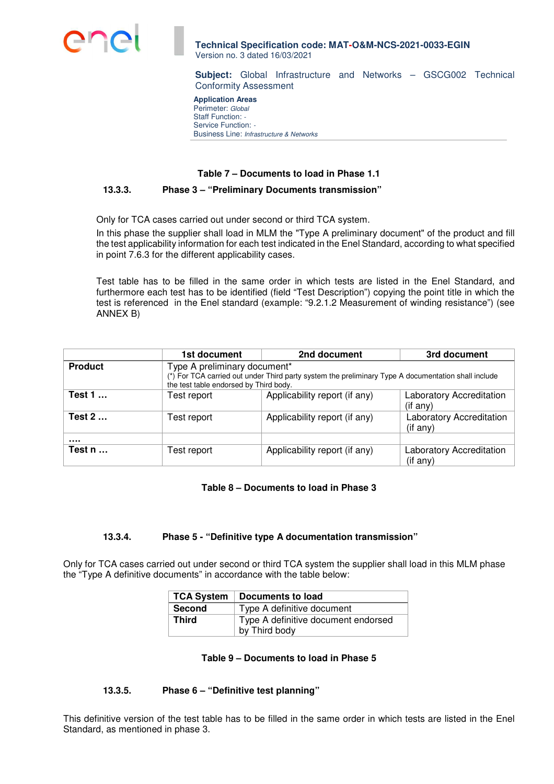

**Subject:** Global Infrastructure and Networks – GSCG002 Technical Conformity Assessment

#### **Application Areas** Perimeter: Global Staff Function: -Service Function: -Business Line: Infrastructure & Networks

#### **Table 7 – Documents to load in Phase 1.1**

## **13.3.3. Phase 3 – "Preliminary Documents transmission"**

Only for TCA cases carried out under second or third TCA system.

In this phase the supplier shall load in MLM the "Type A preliminary document" of the product and fill the test applicability information for each test indicated in the Enel Standard, according to what specified in point 7.6.3 for the different applicability cases.

Test table has to be filled in the same order in which tests are listed in the Enel Standard, and furthermore each test has to be identified (field "Test Description") copying the point title in which the test is referenced in the Enel standard (example: "9.2.1.2 Measurement of winding resistance") (see ANNEX B)

|                | 1st document                                                                                                                                                                  | 2nd document                  | 3rd document                                   |  |  |
|----------------|-------------------------------------------------------------------------------------------------------------------------------------------------------------------------------|-------------------------------|------------------------------------------------|--|--|
| <b>Product</b> | Type A preliminary document*<br>(*) For TCA carried out under Third party system the preliminary Type A documentation shall include<br>the test table endorsed by Third body. |                               |                                                |  |  |
| <b>Test 1 </b> | Test report                                                                                                                                                                   | Applicability report (if any) | <b>Laboratory Accreditation</b><br>$(i$ f any) |  |  |
| Test $2$       | Test report                                                                                                                                                                   | Applicability report (if any) | Laboratory Accreditation<br>$($ if any $)$     |  |  |
| <br>Test $n$   | Test report                                                                                                                                                                   | Applicability report (if any) | Laboratory Accreditation<br>$(i$ f any)        |  |  |

#### **Table 8 – Documents to load in Phase 3**

#### **13.3.4. Phase 5 - "Definitive type A documentation transmission"**

Only for TCA cases carried out under second or third TCA system the supplier shall load in this MLM phase the "Type A definitive documents" in accordance with the table below:

|               | <b>TCA System</b>   Documents to load |
|---------------|---------------------------------------|
| <b>Second</b> | Type A definitive document            |
| Third         | Type A definitive document endorsed   |
|               | by Third body                         |

## **Table 9 – Documents to load in Phase 5**

## **13.3.5. Phase 6 – "Definitive test planning"**

This definitive version of the test table has to be filled in the same order in which tests are listed in the Enel Standard, as mentioned in phase 3.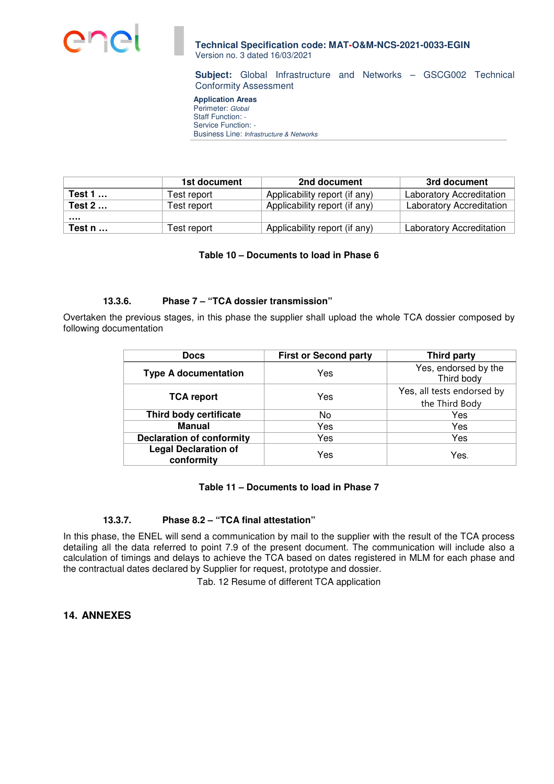

**Subject:** Global Infrastructure and Networks – GSCG002 Technical Conformity Assessment

**Application Areas** Perimeter: Global Staff Function: -Service Function: -Business Line: Infrastructure & Networks

|          | 1st document | 2nd document                  | 3rd document                    |
|----------|--------------|-------------------------------|---------------------------------|
| Test $1$ | Test report  | Applicability report (if any) | Laboratory Accreditation        |
| Test $2$ | Test report  | Applicability report (if any) | <b>Laboratory Accreditation</b> |
|          |              |                               |                                 |
| Test $n$ | Test report  | Applicability report (if any) | Laboratory Accreditation        |

#### **Table 10 – Documents to load in Phase 6**

## **13.3.6. Phase 7 – "TCA dossier transmission"**

Overtaken the previous stages, in this phase the supplier shall upload the whole TCA dossier composed by following documentation

| <b>Docs</b>                               | <b>First or Second party</b> | <b>Third party</b>                           |
|-------------------------------------------|------------------------------|----------------------------------------------|
| <b>Type A documentation</b>               | Yes                          | Yes, endorsed by the<br>Third body           |
| <b>TCA report</b>                         | Yes                          | Yes, all tests endorsed by<br>the Third Body |
| Third body certificate                    | No                           | Yes                                          |
| <b>Manual</b>                             | Yes                          | Yes                                          |
| <b>Declaration of conformity</b>          | Yes                          | Yes                                          |
| <b>Legal Declaration of</b><br>conformity | Yes                          | Yes.                                         |

## **Table 11 – Documents to load in Phase 7**

## **13.3.7. Phase 8.2 – "TCA final attestation"**

In this phase, the ENEL will send a communication by mail to the supplier with the result of the TCA process detailing all the data referred to point 7.9 of the present document. The communication will include also a calculation of timings and delays to achieve the TCA based on dates registered in MLM for each phase and the contractual dates declared by Supplier for request, prototype and dossier.

Tab. 12 Resume of different TCA application

## **14. ANNEXES**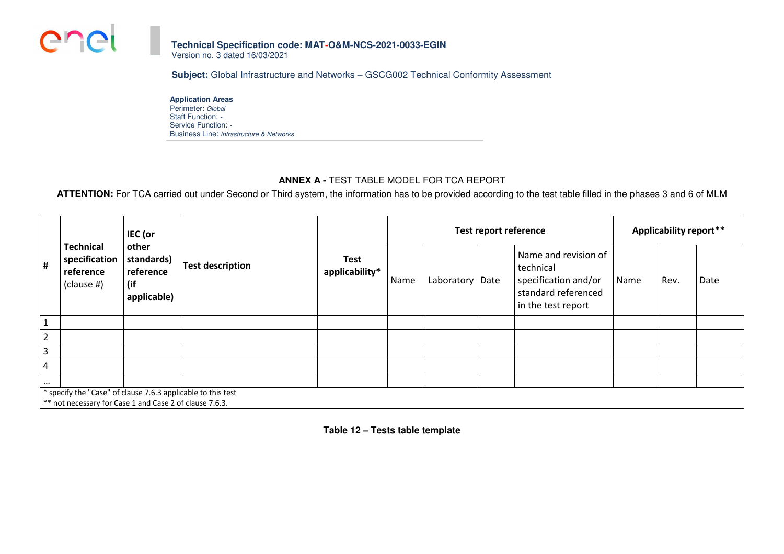

**Subject:** Global Infrastructure and Networks – GSCG002 Technical Conformity Assessment

**Application Areas**Perimeter: Global Staff Function: - Service Function: - **Business Line: Infrastructure & Networks** 

# **ANNEX A -** TEST TABLE MODEL FOR TCA REPORT

ATTENTION: For TCA carried out under Second or Third system, the information has to be provided according to the test table filled in the phases 3 and 6 of MLM

|                |                                                                                                                         | IEC (or                                                |                         |                               |      | <b>Test report reference</b> |  |                                                                                                        |      | <b>Applicability report**</b> |      |  |
|----------------|-------------------------------------------------------------------------------------------------------------------------|--------------------------------------------------------|-------------------------|-------------------------------|------|------------------------------|--|--------------------------------------------------------------------------------------------------------|------|-------------------------------|------|--|
| #              | <b>Technical</b><br>specification<br>reference<br>$clause$ #)                                                           | other<br>standards)<br>reference<br>(if<br>applicable) | <b>Test description</b> | <b>Test</b><br>applicability* | Name | Laboratory Date              |  | Name and revision of<br>technical<br>specification and/or<br>standard referenced<br>in the test report | Name | Rev.                          | Date |  |
| $\mathbf{1}$   |                                                                                                                         |                                                        |                         |                               |      |                              |  |                                                                                                        |      |                               |      |  |
| $\overline{2}$ |                                                                                                                         |                                                        |                         |                               |      |                              |  |                                                                                                        |      |                               |      |  |
| $\overline{3}$ |                                                                                                                         |                                                        |                         |                               |      |                              |  |                                                                                                        |      |                               |      |  |
| $\overline{4}$ |                                                                                                                         |                                                        |                         |                               |      |                              |  |                                                                                                        |      |                               |      |  |
| $\cdots$       |                                                                                                                         |                                                        |                         |                               |      |                              |  |                                                                                                        |      |                               |      |  |
|                | * specify the "Case" of clause 7.6.3 applicable to this test<br>** not necessary for Case 1 and Case 2 of clause 7.6.3. |                                                        |                         |                               |      |                              |  |                                                                                                        |      |                               |      |  |

**Table 12 – Tests table template**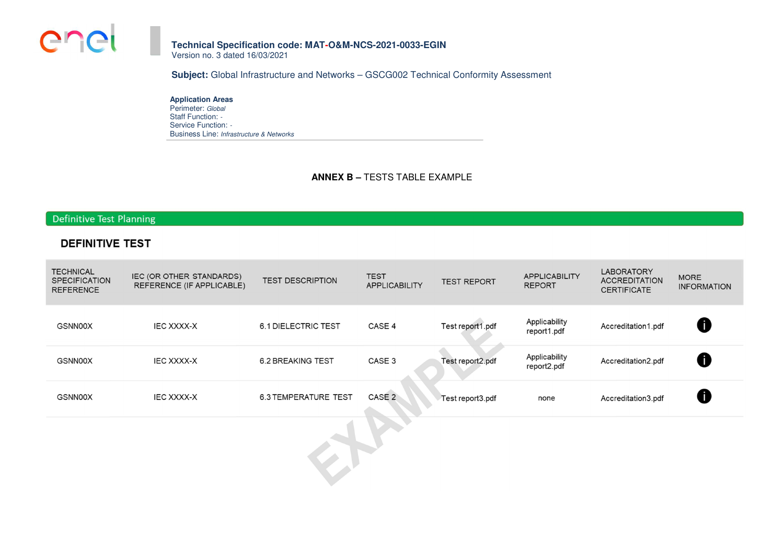

**Subject:** Global Infrastructure and Networks – GSCG002 Technical Conformity Assessment

**Application Areas**Perimeter: Global Staff Function: - Service Function: - **Business Line: Infrastructure & Networks** 

**ANNEX B –** TESTS TABLE EXAMPLE

## **Definitive Test Planning**

## **DEFINITIVE TEST**

| <b>TECHNICAL</b><br><b>SPECIFICATION</b><br><b>REFERENCE</b> | IEC (OR OTHER STANDARDS)<br>REFERENCE (IF APPLICABLE) | <b>TEST DESCRIPTION</b>     | <b>TEST</b><br><b>APPLICABILITY</b> | <b>TEST REPORT</b> | <b>APPLICABILITY</b><br><b>REPORT</b> | <b>LABORATORY</b><br><b>ACCREDITATION</b><br><b>CERTIFICATE</b> | <b>MORE</b><br><b>INFORMATION</b> |
|--------------------------------------------------------------|-------------------------------------------------------|-----------------------------|-------------------------------------|--------------------|---------------------------------------|-----------------------------------------------------------------|-----------------------------------|
| GSNN00X                                                      | <b>IEC XXXX-X</b>                                     | <b>6.1 DIELECTRIC TEST</b>  | CASE 4                              | Test report1.pdf   | Applicability<br>report1.pdf          | Accreditation1.pdf                                              | 0                                 |
| GSNN00X                                                      | <b>IEC XXXX-X</b>                                     | <b>6.2 BREAKING TEST</b>    | CASE 3                              | Test report2.pdf   | Applicability<br>report2.pdf          | Accreditation2.pdf                                              | 0                                 |
| GSNN00X                                                      | IEC XXXX-X                                            | <b>6.3 TEMPERATURE TEST</b> | CASE 2                              | Test report3.pdf   | none                                  | Accreditation3.pdf                                              | 6                                 |
|                                                              |                                                       |                             |                                     |                    |                                       |                                                                 |                                   |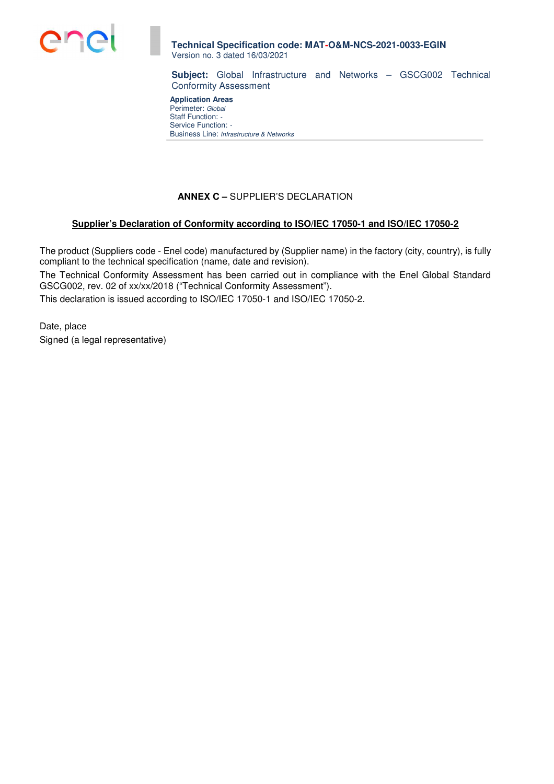

**Subject:** Global Infrastructure and Networks – GSCG002 Technical Conformity Assessment

**Application Areas** Perimeter: Global Staff Function: -Service Function: -Business Line: Infrastructure & Networks

## **ANNEX C –** SUPPLIER'S DECLARATION

## **Supplier's Declaration of Conformity according to ISO/IEC 17050-1 and ISO/IEC 17050-2**

The product (Suppliers code - Enel code) manufactured by (Supplier name) in the factory (city, country), is fully compliant to the technical specification (name, date and revision).

The Technical Conformity Assessment has been carried out in compliance with the Enel Global Standard GSCG002, rev. 02 of xx/xx/2018 ("Technical Conformity Assessment").

This declaration is issued according to ISO/IEC 17050-1 and ISO/IEC 17050-2.

Date, place Signed (a legal representative)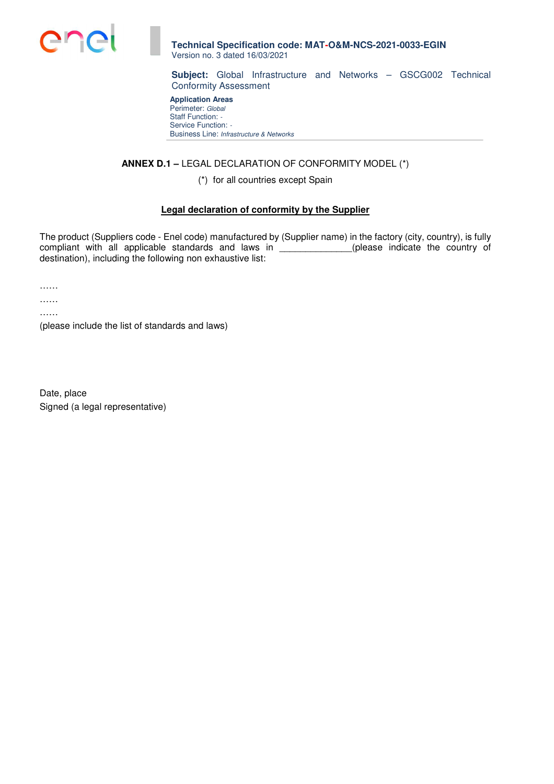

**Subject:** Global Infrastructure and Networks – GSCG002 Technical Conformity Assessment

**Application Areas** Perimeter: Global Staff Function: -Service Function: -Business Line: Infrastructure & Networks

## **ANNEX D.1 –** LEGAL DECLARATION OF CONFORMITY MODEL (\*)

(\*) for all countries except Spain

## **Legal declaration of conformity by the Supplier**

The product (Suppliers code - Enel code) manufactured by (Supplier name) in the factory (city, country), is fully compliant with all applicable standards and laws in \_\_\_\_\_\_\_\_\_\_\_\_(please indicate the country of destination), including the following non exhaustive list:

……

……

……

(please include the list of standards and laws)

Date, place Signed (a legal representative)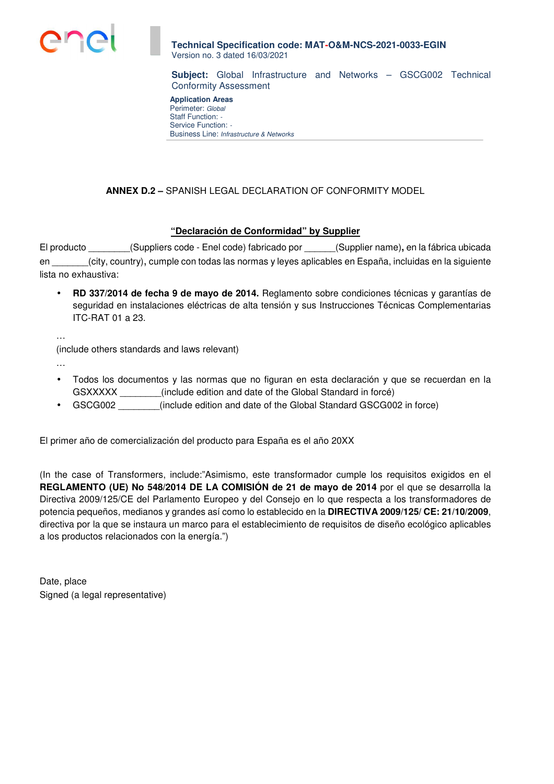

**Subject:** Global Infrastructure and Networks – GSCG002 Technical Conformity Assessment

**Application Areas** Perimeter: Global Staff Function: -Service Function: - Business Line: Infrastructure & Networks

# **ANNEX D.2 –** SPANISH LEGAL DECLARATION OF CONFORMITY MODEL

## **"Declaración de Conformidad" by Supplier**

El producto \_\_\_\_\_\_\_\_(Suppliers code - Enel code) fabricado por \_\_\_\_\_\_(Supplier name)**,** en la fábrica ubicada en  $\cdot$  (city, country), cumple con todas las normas y leyes aplicables en España, incluidas en la siguiente lista no exhaustiva:

• **RD 337/2014 de fecha 9 de mayo de 2014.** Reglamento sobre condiciones técnicas y garantías de seguridad en instalaciones eléctricas de alta tensión y sus Instrucciones Técnicas Complementarias ITC-RAT 01 a 23.

…

(include others standards and laws relevant)

- …
- Todos los documentos y las normas que no figuran en esta declaración y que se recuerdan en la GSXXXXX \_\_\_\_\_\_\_\_(include edition and date of the Global Standard in forcé)
- GSCG002 \_\_\_\_\_\_\_\_(include edition and date of the Global Standard GSCG002 in force)

El primer año de comercialización del producto para España es el año 20XX

(In the case of Transformers, include:"Asimismo, este transformador cumple los requisitos exigidos en el **REGLAMENTO (UE) No 548/2014 DE LA COMISIÓN de 21 de mayo de 2014** por el que se desarrolla la Directiva 2009/125/CE del Parlamento Europeo y del Consejo en lo que respecta a los transformadores de potencia pequeños, medianos y grandes así como lo establecido en la **DIRECTIVA 2009/125/ CE: 21/10/2009**, directiva por la que se instaura un marco para el establecimiento de requisitos de diseño ecológico aplicables a los productos relacionados con la energía.")

Date, place Signed (a legal representative)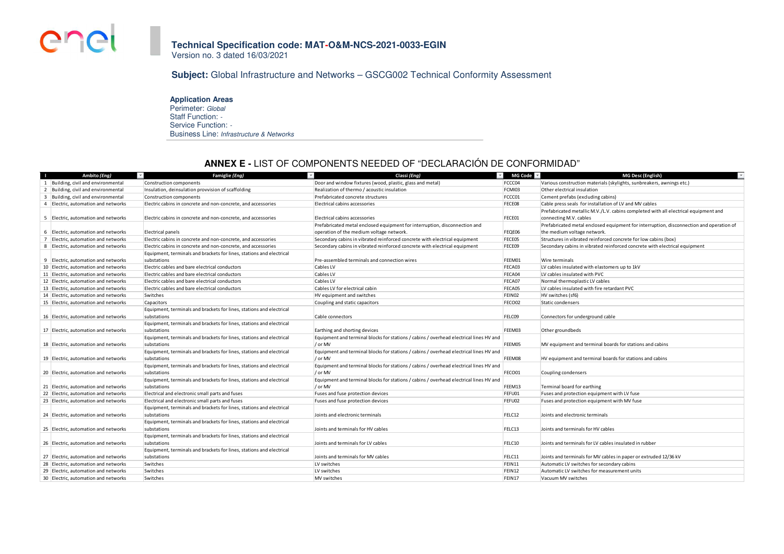

**Subject:** Global Infrastructure and Networks – GSCG002 Technical Conformity Assessment

#### **Application Areas**

Perimeter: Global Staff Function: - Service Function: - **Business Line: Infrastructure & Networks** 

## **ANNEX E -** LIST OF COMPONENTS NEEDED OF "DECLARACIÓN DE CONFORMIDAD"

| Ambito (Eng)                         | Famiglie (Eng)                                                       | Classi (Eng)                                                                           | MG Code | MG Desc (English)                                                                       |
|--------------------------------------|----------------------------------------------------------------------|----------------------------------------------------------------------------------------|---------|-----------------------------------------------------------------------------------------|
| 1 Building, civil and environmental  | <b>Construction components</b>                                       | Door and window fixtures (wood, plastic, glass and metal)                              | FCCC04  | Various construction materials (skylights, sunbreakers, awnings etc.)                   |
| 2 Building, civil and environmental  | Insulation, deinsulation provvision of scaffolding                   | Realization of thermo / acoustic insulation                                            | FCMI03  | Other electrical insulation                                                             |
| 3 Building, civil and environmental  | Construction components                                              | Prefabricated concrete structures                                                      | FCCC01  | Cement prefabs (excluding cabins)                                                       |
| 4 Electric, automation and networks  | Electric cabins in concrete and non-concrete, and accessories        | Electrical cabins accessories                                                          | FECE08  | Cable press seals for installation of LV and MV cables                                  |
|                                      |                                                                      |                                                                                        |         | Prefabricated metallic M.V./L.V. cabins completed with all electrical equipment and     |
| 5 Electric, automation and networks  | Electric cabins in concrete and non-concrete, and accessories        | Electrical cabins accessories                                                          | FECE01  | connecting M.V. cables                                                                  |
|                                      |                                                                      | Prefabricated metal enclosed equipment for interruption, disconnection and             |         | Prefabricated metal enclosed equipment for interruption, disconnection and operation of |
| 6 Electric, automation and networks  | <b>Electrical panels</b>                                             | operation of the medium voltage network.                                               | FEQE06  | the medium voltage network.                                                             |
| 7 Electric, automation and networks  | Electric cabins in concrete and non-concrete, and accessories        | Secondary cabins in vibrated reinforced concrete with electrical equipment             | FECE05  | Structures in vibrated reinforced concrete for low cabins (box)                         |
| 8 Electric, automation and networks  | Electric cabins in concrete and non-concrete, and accessories        | Secondary cabins in vibrated reinforced concrete with electrical equipment             | FECE09  | Secondary cabins in vibrated reinforced concrete with electrical equipment              |
|                                      | Equipment, terminals and brackets for lines, stations and electrical |                                                                                        |         |                                                                                         |
| 9 Electric, automation and networks  | substations                                                          | Pre-assembled terminals and connection wires                                           | FEEM01  | Wire terminals                                                                          |
| 10 Electric, automation and networks | Electric cables and bare electrical conductors                       | Cables LV                                                                              | FECA03  | LV cables insulated with elastomers up to 1kV                                           |
| 11 Electric, automation and networks | Electric cables and bare electrical conductors                       | Cables LV                                                                              | FECA04  | LV cables insulated with PVC                                                            |
| 12 Electric, automation and networks | Electric cables and bare electrical conductors                       | Cables LV                                                                              | FECA07  | Normal thermoplastic LV cables                                                          |
| 13 Electric, automation and networks | Electric cables and bare electrical conductors                       | Cables LV for electrical cabin                                                         | FECA05  | LV cables insulated with fire retardant PVC                                             |
| 14 Electric, automation and networks | Switches                                                             | HV equipment and switches                                                              | FEIN02  | HV switches (sf6)                                                                       |
| 15 Electric, automation and networks | Capacitors                                                           | Coupling and static capacitors                                                         | FECO02  | Static condensers                                                                       |
|                                      | Equipment, terminals and brackets for lines, stations and electrical |                                                                                        |         |                                                                                         |
| 16 Electric, automation and networks | substations                                                          | Cable connectors                                                                       | FELC09  | Connectors for underground cable                                                        |
|                                      | Equipment, terminals and brackets for lines, stations and electrical |                                                                                        |         |                                                                                         |
| 17 Electric, automation and networks | substations                                                          | Earthing and shorting devices                                                          | FEEM03  | Other groundbeds                                                                        |
|                                      | Equipment, terminals and brackets for lines, stations and electrical | Equipment and terminal blocks for stations / cabins / overhead electrical lines HV and |         |                                                                                         |
| 18 Electric, automation and networks | substations                                                          | / or MV                                                                                | FEEM05  | MV equipment and terminal boards for stations and cabins                                |
|                                      | Equipment, terminals and brackets for lines, stations and electrical | Equipment and terminal blocks for stations / cabins / overhead electrical lines HV and |         |                                                                                         |
| 19 Electric, automation and networks | substations                                                          | / or MV                                                                                | FEEM08  | HV equipment and terminal boards for stations and cabins                                |
|                                      | Equipment, terminals and brackets for lines, stations and electrical | Equipment and terminal blocks for stations / cabins / overhead electrical lines HV and |         |                                                                                         |
| 20 Electric, automation and networks | substations                                                          | / or MV                                                                                | FECO01  | Coupling condensers                                                                     |
|                                      | Equipment, terminals and brackets for lines, stations and electrical | Equipment and terminal blocks for stations / cabins / overhead electrical lines HV and |         |                                                                                         |
| 21 Electric, automation and networks | substations                                                          | / or MV                                                                                | FEEM13  | Terminal board for earthing                                                             |
| 22 Electric, automation and networks | Electrical and electronic small parts and fuses                      | Fuses and fuse protection devices                                                      | FEFU01  | Fuses and protection equipment with LV fuse                                             |
| 23 Electric, automation and networks | Electrical and electronic small parts and fuses                      | Fuses and fuse protection devices                                                      | FEFU02  | Fuses and protection equipment with MV fuse                                             |
|                                      | Equipment, terminals and brackets for lines, stations and electrical |                                                                                        |         |                                                                                         |
| 24 Electric, automation and networks | substations                                                          | Joints and electronic terminals                                                        | FELC12  | Joints and electronic terminals                                                         |
|                                      | Equipment, terminals and brackets for lines, stations and electrical |                                                                                        |         |                                                                                         |
| 25 Electric, automation and networks | substations                                                          | Joints and terminals for HV cables                                                     | FELC13  | Joints and terminals for HV cables                                                      |
|                                      | Equipment, terminals and brackets for lines, stations and electrical |                                                                                        |         |                                                                                         |
| 26 Electric, automation and networks | substations                                                          | Joints and terminals for LV cables                                                     | FELC10  | Joints and terminals for LV cables insulated in rubber                                  |
|                                      | Equipment, terminals and brackets for lines, stations and electrical |                                                                                        |         |                                                                                         |
| 27 Electric, automation and networks | substations                                                          | Joints and terminals for MV cables                                                     | FELC11  | Joints and terminals for MV cables in paper or extruded 12/36 kV                        |
| 28 Electric, automation and networks | Switches                                                             | LV switches                                                                            | FEIN11  | Automatic LV switches for secondary cabins                                              |
| 29 Electric, automation and networks | Switches                                                             | LV switches                                                                            | FEIN12  | Automatic LV switches for measurement units                                             |
| 30 Electric, automation and networks | Switches                                                             | MV switches                                                                            | FEIN17  | Vacuum MV switches                                                                      |